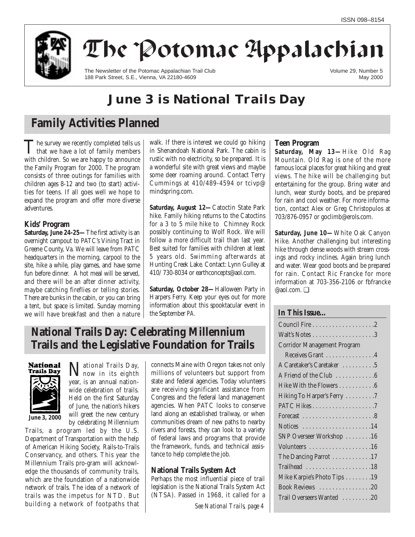

# The Potomac Appalachian

The Newsletter of the Potomac Appalachian Trail Club 188 Park Street, S.E., Vienna, VA 22180-4609

Volume 29, Number 5 May 2000

# **June 3 is National Trails Day**

# **Family Activities Planned**

The survey we recently completed tells us<br>that we have a lot of family members with children. So we are happy to announce the Family Program for 2000. The program consists of three outings for families with children ages 8-12 and two (to start) activities for teens. If all goes well we hope to expand the program and offer more diverse adventures.

## **Kids' Program**

**Saturday, June 24-25—**The first activity is an overnight campout to PATC's Vining Tract in Greene County, Va. We will leave from PATC headquarters in the morning, carpool to the site, hike a while, play games, and have some fun before dinner. A hot meal will be served. and there will be an after dinner activity, maybe catching fireflies or telling stories. There are bunks in the cabin, or you can bring a tent, but space is limited. Sunday morning we will have breakfast and then a nature walk. If there is interest we could go hiking in Shenandoah National Park. The cabin is rustic with no electricity, so be prepared. It is a wonderful site with great views and maybe some deer roaming around. Contact Terry Cummings at 410/489-4594 or tcivp@ mindspring.com.

**Saturday, August 12—**Catoctin State Park hike. Family hiking returns to the Catoctins for a 3 to 5 mile hike to Chimney Rock possibly continuing to Wolf Rock. We will follow a more difficult trail than last year. Best suited for families with children at least 5 years old. Swimming afterwards at Hunting Creek Lake. Contact: Lynn Gulley at 410/ 730-8034 or earthconcepts@aol.com.

**Saturday, October 28—**Halloween Party in Harpers Ferry. Keep your eyes out for more information about this spooktacular event in the September *PA.*

## **National Trails Day: Celebrating Millennium Trails and the Legislative Foundation for Trails**



**June 3, 2000**

National Trails Day, now in its eighth year, is an annual nationwide celebration of trails. Held on the first Saturday of June, the nation's hikers will greet the new century by celebrating Millennium

Trails, a program led by the U.S. Department of Transportation with the help of American Hiking Society, Rails-to-Trails Conservancy, and others. This year the Millennium Trails pro-gram will acknowledge the thousands of community trails, which are the foundation of a nationwide network of trails. The idea of a network of trails was the impetus for NTD. But building a network of footpaths that connects Maine with Oregon takes not only millions of volunteers but support from state and federal agencies. Today volunteers are receiving significant assistance from Congress and the federal land management agencies. When PATC looks to conserve land along an established trailway, or when communities dream of new paths to nearby rivers and forests, they can look to a variety of federal laws and programs that provide the framework, funds, and technical assistance to help complete the job.

## **National Trails System Act**

Perhaps the most influential piece of trail legislation is the National Trails System Act (NTSA). Passed in 1968, it called for a

*See National Trails, page 4*

## **Teen Program**

**Saturday, May 13—**Hike Old Rag Mountain. Old Rag is one of the more famous local places for great hiking and great views. The hike will be challenging but entertaining for the group. Bring water and lunch, wear sturdy boots, and be prepared for rain and cool weather. For more information, contact Alex or Greg Christopulos at 703/876-0957 or goclimb@erols.com.

**Saturday, June 10—**White Oak Canyon Hike. Another challenging but interesting hike through dense woods with stream crossings and rocky inclines. Again bring lunch and water. Wear good boots and be prepared for rain. Contact Ric Francke for more information at 703-356-2106 or fbfrancke @aol.com. ❑

## **In This Issue…**

| <b>Corridor Management Program</b>                          |
|-------------------------------------------------------------|
| Receives Grant 4                                            |
| A Caretaker's Caretaker 5                                   |
| A Friend of the Club 6                                      |
| Hike With the Flowers 6                                     |
| Hiking To Harper's Ferry 7                                  |
|                                                             |
| Forecast $\ldots \ldots \ldots \ldots \ldots \ldots \ldots$ |
| Notices $\dots \dots \dots \dots \dots \dots \dots 14$      |
| SNP Overseer Workshop 16                                    |
| Volunteers 16                                               |
| The Dancing Parrot 17                                       |
|                                                             |
| Mike Karpie's Photo Tips 19                                 |
| Book Reviews 20                                             |
| Trail Overseers Wanted 20                                   |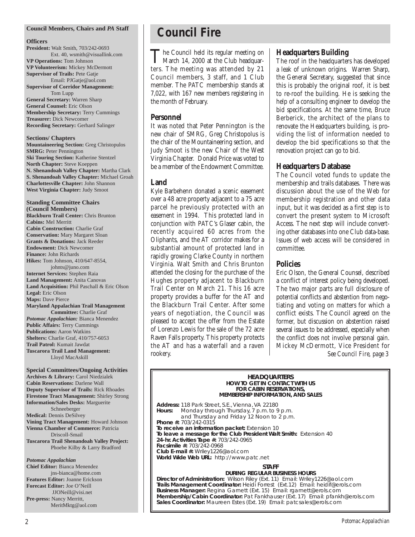#### **Council Members, Chairs and** *PA* **Staff**

#### **Officers**

**President:** Walt Smith, 703/242-0693 Ext. 40, wsmith@visuallink.com **VP Operations:** Tom Johnson **VP Volunteerism:** Mickey McDermott **Supervisor of Trails:** Pete Gatje Email: PJGatje@aol.com **Supervisor of Corridor Management:** Tom Lupp **General Secretary:** Warren Sharp **General Counsel:** Eric Olson **Membership Secretary:** Terry Cummings **Treasurer:** Dick Newcomer **Recording Secretary:** Gerhard Salinger

**Sections/ Chapters Mountaineering Section:** Greg Christopulos **SMRG:** Peter Pennington **Ski Touring Section:** Katherine Stentzel **North Chapter:** Steve Koeppen **N. Shenandoah Valley Chapter:** Martha Clark **S. Shenandoah Valley Chapter:** Michael Groah **Charlottesville Chapter:** John Shannon **West Virginia Chapter:** Judy Smoot

**Standing Committee Chairs (Council Members) Blackburn Trail Center:** Chris Brunton **Cabins:** Mel Merritt **Cabin Construction:** Charlie Graf **Conservation:** Mary Margaret Sloan **Grants & Donations:** Jack Reeder **Endowment:** Dick Newcomer **Finance:** John Richards **Hikes:** Tom Johnson, 410/647-8554, johnts@juno.com **Internet Services:** Stephen Raia **Land Management:** Anita Canovas **Land Acquisition:** Phil Paschall & Eric Olson **Legal:** Eric Olson **Maps:** Dave Pierce **Maryland Appalachian Trail Management Committee:** Charlie Graf *Potomac Appalachian:* Bianca Menendez **Public Affairs:** Terry Cummings **Publications:** Aaron Watkins **Shelters:** Charlie Graf, 410/757-6053 **Trail Patrol:** Kumait Jawdat **Tuscarora Trail Land Management:**  Lloyd MacAskill

**Special Committees/Ongoing Activities Archives & Library:** Carol Niedzialek **Cabin Reservations:** Darlene Wall **Deputy Supervisor of Trails:** Rick Rhoades **Firestone Tract Management:** Shirley Strong **Information/Sales Desks:** Marguerite Schneeberger **Medical:** Dennis DeSilvey **Vining Tract Management:** Howard Johnson **Vienna Chamber of Commerce:** Patricia Driscoll-Smail **Tuscarora Trail Shenandoah Valley Project:**  Phoebe Kilby & Larry Bradford

*Potomac Appalachian* **Chief Editor:** Bianca Menendez jns-bianca@home.com **Features Editor:** Joanne Erickson **Forecast Editor:** Joe O'Neill JJONeill@visi.net **Pre-press:** Nancy Merritt, MeritMktg@aol.com

# **Council Fire**

The Council held its regular meeting on<br>March 14, 2000 at the Club headquarters. The meeting was attended by 21 Council members, 3 staff, and 1 Club member. The PATC membership stands at 7,022, with 167 new members registering in the month of February.

## **Personnel**

It was noted that Peter Pennington is the new chair of SMRG, Greg Christopolus is the chair of the Mountaineering section, and Judy Smoot is the new Chair of the West Virginia Chapter. Donald Price was voted to be a member of the Endowment Committee.

## **Land**

Kyle Barbehenn donated a scenic easement over a 48 acre property adjacent to a 75 acre parcel he previously protected with an easement in 1994. This protected land in conjunction with PATC's Glaser cabin, the recently acquired 60 acres from the Oliphants, and the AT corridor makes for a substantial amount of protected land in rapidly growing Clarke County in northern Virginia. Walt Smith and Chris Brunton attended the closing for the purchase of the Hughes property adjacent to Blackburn Trail Center on March 21. This 16 acre property provides a buffer for the AT and the Blackburn Trail Center. After some years of negotiation, the Council was pleased to accept the offer from the Estate of Lorenzo Lewis for the sale of the 72 acre Raven Falls property. This property protects the AT and has a waterfall and a raven rookery.

## **Headquarters Building**

The roof in the headquarters has developed a leak of unknown origins. Warren Sharp, the General Secretary, suggested that since this is probably the original roof, it is best to re-roof the building. He is seeking the help of a consulting engineer to develop the bid specifications. At the same time, Bruce Berberick, the architect of the plans to renovate the Headquarters building, is providing the list of information needed to develop the bid specifications so that the renovation project can go to bid.

## **Headquarters Database**

The Council voted funds to update the membership and trails databases. There was discussion about the use of the Web for membership registration and other data input, but it was decided as a first step is to convert the present system to Microsoft Access. The next step will include converting other databases into one Club data-base. Issues of web access will be considered in committee.

## **Policies**

Eric Olson, the General Counsel, described a conflict of interest policy being developed. The two major parts are full disclosure of potential conflicts and abstention from negotiating and voting on matters for which a conflict exists. The Council agreed on the former, but discussion on abstention raised several issues to be addressed, especially when the conflict does not involve personal gain. Mickey McDermott, Vice President for *See Council Fire, page 3*

**HEADQUARTERS HOW TO GET IN CONTACT WITH US FOR CABIN RESERVATIONS, MEMBERSHIP INFORMATION, AND SALES**

**Address:** 118 Park Street, S.E., Vienna, VA 22180 **Hours:** Monday through Thursday, 7 p.m. to 9 p.m. and Thursday and Friday 12 Noon to 2 p.m. **Phone #:** 703/242-0315 **To receive an information packet:** Extension 10 **To leave a message for the Club President Walt Smith:** Extension 40 **24-hr. Activities Tape #:** 703/242-0965 **Facsimile #:** 703/242-0968 **Club E-mail #:** Wriley1226@aol.com **World Wide Web URL:** http://www.patc.net

## **STAFF**

**DURING REGULAR BUSINESS HOURS Director of Administration:** Wilson Riley (Ext. 11) Email: Wriley1226@aol.com **Trails Management Coordinator:** Heidi Forrest (Ext.12) Email: heidif@erols.com **Business Manager:** Regina Garnett (Ext. 15) Email: rgarnett@erols.com **Membership/Cabin Coordinator:** Pat Fankhauser (Ext. 17) Email: pfankh@erols.com **Sales Coordinator:** Maureen Estes (Ext. 19) Email: patcsales@erols.com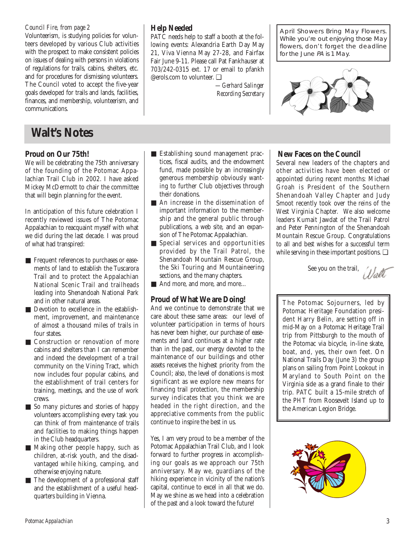Volunteerism, is studying policies for volunteers developed by various Club activities with the prospect to make consistent policies on issues of dealing with persons in violations of regulations for trails, cabins, shelters, etc. and for procedures for dismissing volunteers. The Council voted to accept the five-year goals developed for trails and lands, facilities, finances, and membership, volunteerism, and communications.

# **Walt's Notes**

## **Proud on Our 75th!**

We will be celebrating the 75th anniversary of the founding of the Potomac Appalachian Trail Club in 2002. I have asked Mickey McDermott to chair the committee that will begin planning for the event.

In anticipation of this future celebration I recently reviewed issues of The Potomac Appalachian to reacquaint myself with what we did during the last decade. I was proud of what had transpired:

- Frequent references to purchases or easements of land to establish the Tuscarora Trail and to protect the Appalachian National Scenic Trail and trailheads leading into Shenandoah National Park and in other natural areas.
- Devotion to excellence in the establishment, improvement, and maintenance of almost a thousand miles of trails in four states.
- Construction or renovation of more cabins and shelters than I can remember and indeed the development of a trail community on the Vining Tract, which now includes four popular cabins, and the establishment of trail centers for training, meetings, and the use of work crews.
- So many pictures and stories of happy volunteers accomplishing every task you can think of from maintenance of trails and facilities to making things happen in the Club headquarters.
- Making other people happy, such as children, at-risk youth, and the disadvantaged while hiking, camping, and otherwise enjoying nature.
- The development of a professional staff and the establishment of a useful headquarters building in Vienna.

## **Help Needed**

PATC needs help to staff a booth at the following events: Alexandria Earth Day May 21, Viva Vienna May 27-28, and Fairfax Fair June 9-11. Please call Pat Fankhauser at 703/242-0315 ext. 17 or email to pfankh @erols.com to volunteer. ❑

> *—Gerhard Salinger Recording Secretary*

*Council Fire, from page 2* **April Showers Bring May Flowers.** While you're out enjoying those May flowers, don't forget the deadline for the June PA is 1 May.



- Establishing sound management practices, fiscal audits, and the endowment fund, made possible by an increasingly generous membership obviously wanting to further Club objectives through their donations.
- An increase in the dissemination of important information to the membership and the general public through publications, a web site, and an expansion of The Potomac Appalachian.
- Special services and opportunities provided by the Trail Patrol, the Shenandoah Mountain Rescue Group, the Ski Touring and Mountaineering sections, and the many chapters.
- And more, and more, and more...

## **Proud of What We are Doing!**

And we continue to demonstrate that we care about these same areas: our level of volunteer participation in terms of hours has never been higher, our purchase of easements and land continues at a higher rate than in the past, our energy devoted to the maintenance of our buildings and other assets receives the highest priority from the Council; also, the level of donations is most significant as we explore new means for financing trail protection, the membership survey indicates that you think we are headed in the right direction, and the appreciative comments from the public continue to inspire the best in us.

Yes, I am very proud to be a member of the Potomac Appalachian Trail Club, and I look forward to further progress in accomplishing our goals as we approach our 75th anniversary. May we, guardians of the hiking experience in vicinity of the nation's capital, continue to excel in all that we do. May we shine as we head into a celebration of the past and a look toward the future!

## **New Faces on the Council**

Several new leaders of the chapters and other activities have been elected or appointed during recent months: Michael Groah is President of the Southern Shenandoah Valley Chapter and Judy Smoot recently took over the reins of the West Virginia Chapter. We also welcome leaders Kumait Jawdat of the Trail Patrol and Peter Pennington of the Shenandoah Mountain Rescue Group. Congratulations to all and best wishes for a successful term while serving in these important positions. ❑

See you on the trail,



The Potomac Sojourners, led by Potomac Heritage Foundation president Harry Belin, are setting off in mid-May on a Potomac Heritage Trail trip from Pittsburgh to the mouth of the Potomac via bicycle, in-line skate, boat, and, yes, their own feet. On National Trails Day (June 3) the group plans on sailing from Point Lookout in Maryland to South Point on the Virginia side as a grand finale to their trip. PATC built a 15-mile stretch of the PHT from Roosevelt Island up to the American Legion Bridge.

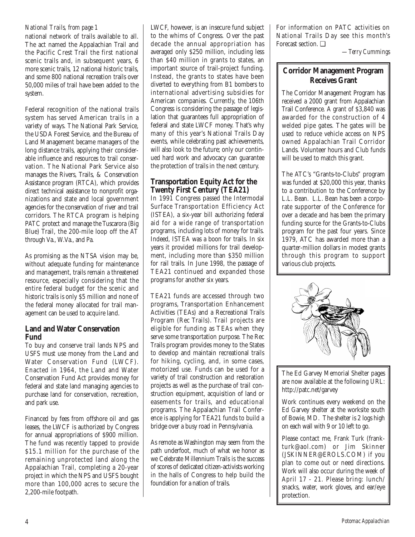## *National Trails, from page 1*

national network of trails available to all. The act named the Appalachian Trail and the Pacific Crest Trail the first national scenic trails and, in subsequent years, 6 more scenic trails, 12 national historic trails, and some 800 national recreation trails over 50,000 miles of trail have been added to the system.

Federal recognition of the national trails system has served American trails in a variety of ways. The National Park Service, the USDA Forest Service, and the Bureau of Land Management became managers of the long distance trails, applying their considerable influence and resources to trail conservation. The National Park Service also manages the Rivers, Trails, & Conservation Assistance program (RTCA), which provides direct technical assistance to nonprofit organizations and state and local government agencies for the conservation of river and trail corridors. The RTCA program is helping PATC protect and manage the Tuscarora (Big Blue) Trail, the 200-mile loop off the AT through Va., W.Va., and Pa.

As promising as the NTSA vision may be, without adequate funding for maintenance and management, trails remain a threatened resource, especially considering that the entire federal budget for the scenic and historic trails is only \$5 million and none of the federal money allocated for trail management can be used to acquire land.

## **Land and Water Conservation Fund**

To buy and conserve trail lands NPS and USFS must use money from the Land and Water Conservation Fund (LWCF). Enacted in 1964, the Land and Water Conservation Fund Act provides money for federal and state land managing agencies to purchase land for conservation, recreation, and park use.

Financed by fees from offshore oil and gas leases, the LWCF is authorized by Congress for annual appropriations of \$900 million. The fund was recently tapped to provide \$15.1 million for the purchase of the remaining unprotected land along the Appalachian Trail, completing a 20-year project in which the NPS and USFS bought more than 100,000 acres to secure the 2,200-mile footpath.

LWCF, however, is an insecure fund subject to the whims of Congress. Over the past decade the annual appropriation has averaged only \$250 million, including less than \$40 million in grants to states, an important source of trail-project funding. Instead, the grants to states have been diverted to everything from B1 bombers to international advertising subsidies for American companies. Currently, the 106th Congress is considering the passage of legislation that guarantees full appropriation of federal and state LWCF money. That's why many of this year's National Trails Day events, while celebrating past achievements, will also look to the future; only our continued hard work and advocacy can guarantee the protection of trails in the next century.

## **Transportation Equity Act for the Twenty First Century (TEA21)**

In 1991 Congress passed the Intermodal Surface Transportation Efficiency Act (ISTEA), a six-year bill authorizing federal aid for a wide range of transportation programs, including lots of money for trails. Indeed, ISTEA was a boon for trails. In six years it provided millions for trail development, including more than \$350 million for rail trails. In June 1998, the passage of TEA21 continued and expanded those programs for another six years.

TEA21 funds are accessed through two programs, Transportation Enhancement Activities (TEAs) and a Recreational Trails Program (Rec Trails). Trail projects are eligible for funding as TEAs when they serve some transportation purpose. The Rec Trails program provides money to the States to develop and maintain recreational trails for hiking, cycling, and, in some cases, motorized use. Funds can be used for a variety of trail construction and restoration projects as well as the purchase of trail construction equipment, acquisition of land or easements for trails, and educational programs. The Appalachian Trail Conference is applying for TEA21 funds to build a bridge over a busy road in Pennsylvania.

As remote as Washington may seem from the path underfoot, much of what we honor as we Celebrate Millennium Trails is the success of scores of dedicated citizen-activists working in the halls of Congress to help build the foundation for a nation of trails.

For information on PATC activities on National Trails Day see this month's Forecast section. ❑

*—Terry Cummings*

## **Corridor Management Program Receives Grant**

The Corridor Management Program has received a 2000 grant from Appalachian Trail Conference. A grant of \$3,840 was awarded for the construction of 4 welded pipe gates. The gates will be used to reduce vehicle access on NPS owned Appalachian Trail Corridor Lands. Volunteer hours and Club funds will be used to match this grant.

The ATC's "Grants-to-Clubs" program was funded at \$20,000 this year, thanks to a contribution to the Conference by L.L. Bean. L.L. Bean has been a corporate supporter of the Conference for over a decade and has been the primary funding source for the Grants-to-Clubs program for the past four years. Since 1979, ATC has awarded more than a quarter-million dollars in modest grants through this program to support various club projects.



The Ed Garvey Memorial Shelter pages are now available at the following URL: http://patc.net/garvey

Work continues every weekend on the Ed Garvey shelter at the worksite south of Bowie, MD. The shelter is 2 logs high on each wall with 9 or 10 left to go.

Please contact me, Frank Turk (frankturk@aol.com) or Jim Skinner (JSKINNER@EROLS.COM) if you plan to come out or need directions. Work will also occur during the week of April 17 - 21. Please bring: lunch/ snacks, water, work gloves, and ear/eye protection.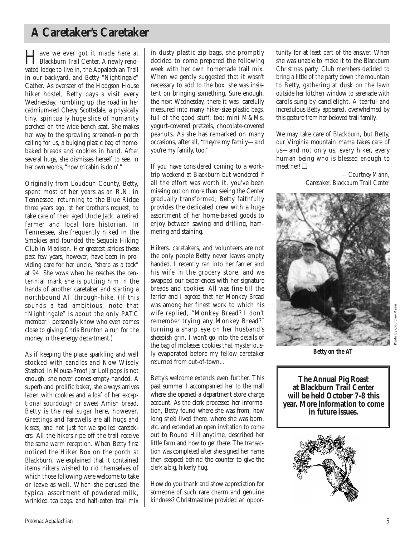# **A Caretaker's Caretaker**

Have we ever got it made here at Blackburn Trail Center. A newly renovated lodge to live in, the Appalachian Trail in our backyard, and Betty "Nightingale" Cather. As overseer of the Hodgson House hiker hostel, Betty pays a visit every Wednesday, rumbling up the road in her cadmium-red Chevy Scottsdale, a physically tiny, spiritually huge slice of humanity perched on the wide bench seat. She makes her way to the sprawling screened-in porch calling for us, a bulging plastic bag of homebaked breads and cookies in hand. After several hugs, she dismisses herself to see, in her own words, "how m'cabin is doin'."

Originally from Loudoun County, Betty, spent most of her years as an R.N. in Tennessee, returning to the Blue Ridge three years ago, at her brother's request, to take care of their aged Uncle Jack, a retired farmer and local lore historian. In Tennessee, she frequently hiked in the Smokies and founded the Sequoia Hiking Club in Madison. Her greatest strides these past few years, however, have been in providing care for her uncle, "sharp as a tack" at 94. She vows when he reaches the centennial mark she is putting him in the hands of another caretaker and starting a northbound AT through-hike. (If this sounds a tad ambitious, note that "Nightingale" is about the only PATC member I personally know who even comes close to giving Chris Brunton a run for the money in the energy department.)

As if keeping the place sparkling and well stocked with candles and Now Wisely Stashed In Mouse-Proof Jar Lollipops is not enough, she never comes empty-handed. A superb and prolific baker, she always arrives laden with cookies and a loaf of her exceptional sourdough or sweet Amish bread. Betty is the real sugar here, however. Greetings and farewells are all hugs and kisses, and not just for we spoiled caretakers. All the hikers ripe off the trail receive the same warm reception. When Betty first noticed the Hiker Box on the porch at Blackburn, we explained that it contained items hikers wished to rid themselves of which those following were welcome to take or leave as well. When she perused the typical assortment of powdered milk, wrinkled tea bags, and half-eaten trail mix in dusty plastic zip bags, she promptly decided to come prepared the following week with her own homemade trail mix. When we gently suggested that it wasn't necessary to add to the box, she was insistent on bringing something. Sure enough, the next Wednesday, there it was, carefully measured into many hiker-size plastic bags, full of the good stuff, too: mini M&Ms, yogurt-covered pretzels, chocolate-covered peanuts. As she has remarked on many occasions, after all, "they're my family—and you're my family, too."

If you have considered coming to a worktrip weekend at Blackburn but wondered if all the effort was worth it, you've been missing out on more than seeing the Center gradually transformed; Betty faithfully provides the dedicated crew with a huge assortment of her home-baked goods to enjoy between sawing and drilling, hammering and staining.

Hikers, caretakers, and volunteers are not the only people Betty never leaves empty handed. I recently ran into her farrier and his wife in the grocery store, and we swapped our experiences with her signature breads and cookies. All was fine till the farrier and I agreed that her Monkey Bread was among her finest work to which his wife replied, "Monkey Bread? I don't remember trying any Monkey Bread?" turning a sharp eye on her husband's sheepish grin. I won't go into the details of the bag of molasses cookies that mysteriously evaporated before my fellow caretaker returned from out-of-town...

Betty's welcome extends even further. This past summer I accompanied her to the mall where she opened a department store charge account. As the clerk processed her information, Betty found where she was from, how long she'd lived there, where she was born, etc. and extended an open invitation to come out to Round Hill anytime, described her little farm and how to get there. The transaction was completed after she signed her name then stepped behind the counter to give the clerk a big, hikerly hug.

How do you thank and show appreciation for someone of such rare charm and genuine kindness? Christmastime provided an opportunity for at least part of the answer. When she was unable to make it to the Blackburn Christmas party, Club members decided to bring a little of the party down the mountain to Betty, gathering at dusk on the lawn outside her kitchen window to serenade with carols sung by candlelight. A tearful and incredulous Betty appeared, overwhelmed by this gesture from her beloved trail family.

We may take care of Blackburn, but Betty, our Virginia mountain mama takes care of us—and not only us, every hiker, every human being who is blessed enough to meet her! ❑

> *—Courtney Mann, Caretaker, Blackburn Trail Center*



Photo by Courtney Mann

**The Annual Pig Roast at Blackburn Trail Center will be held October 7-8 this year. More information to come in future issues.**

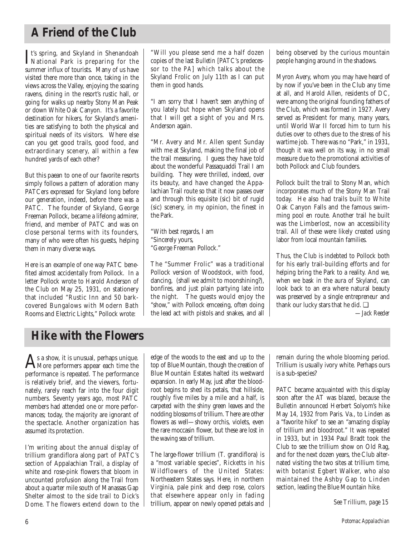# **A Friend of the Club**

It's spring, and Skyland in Shenandoah<br>
National Park is preparing for the<br>
www.spillon.of textits Mayo for beam National Park is preparing for the summer influx of tourists. Many of us have visited there more than once, taking in the views across the Valley, enjoying the soaring ravens, dining in the resort's rustic hall, or going for walks up nearby Stony Man Peak or down White Oak Canyon. It's a favorite destination for hikers, for Skyland's amenities are satisfying to both the physical and spiritual needs of its visitors. Where else can you get good trails, good food, and extraordinary scenery, all within a few hundred yards of each other?

But this paean to one of our favorite resorts simply follows a pattern of adoration many PATCers expressed for Skyland long before our generation, indeed, before there was a PATC. The founder of Skyland, George Freeman Pollock, became a lifelong admirer, friend, and member of PATC and was on close personal terms with its founders, many of who were often his guests, helping them in many diverse ways.

Here is an example of one way PATC benefited almost accidentally from Pollock. In a letter Pollock wrote to Harold Anderson of the Club on May 25, 1931, on stationery that included "Rustic Inn and 50 barkcovered Bungalows with Modern Bath Rooms and Electric Lights," Pollock wrote:

"Will you please send me a half dozen copies of the last *Bulletin* [PATC's predecessor to the *PA*] which talks about the Skyland Frolic on July 11th as I can put them in good hands.

"I am sorry that I haven't seen anything of you lately but hope when Skyland opens that I will get a sight of you and Mrs. Anderson again.

"Mr. Avery and Mr. Allen spent Sunday with me at Skyland, making the final job of the trail measuring. I guess they have told about the wonderful Passaquaddi Trail I am building. They were thrilled, indeed, over its beauty, and have changed the Appalachian Trail route so that it now passes over and through this equisite (sic) bit of rugid (sic) scenery, in my opinion, the finest in the Park.

"With best regards, I am "Sincerely yours, "George Freeman Pollock."

The "Summer Frolic" was a traditional Pollock version of Woodstock, with food, dancing, (shall we admit to moonshining?), bonfires, and just plain partying late into the night. The guests would enjoy the "show," with Pollock emceeing, often doing the lead act with pistols and snakes, and all being observed by the curious mountain people hanging around in the shadows.

Myron Avery, whom you may have heard of by now if you've been in the Club any time at all, and Harold Allen, residents of DC, were among the original founding fathers of the Club, which was formed in 1927. Avery served as President for many, many years, until World War II forced him to turn his duties over to others due to the stress of his wartime job. There was no "Park," in 1931, though it was well on its way, in no small measure due to the promotional activities of both Pollock and Club founders.

Pollock built the trail to Stony Man, which incorporates much of the Stony Man Trail today. He also had trails built to White Oak Canyon Falls and the famous swimming pool en route. Another trail he built was the Limberlost, now an accessibility trail. All of these were likely created using labor from local mountain families.

Thus, the Club is indebted to Pollock both for his early trail-building efforts and for helping bring the Park to a reality. And we, when we bask in the aura of Skyland, can look back to an era where natural beauty was preserved by a single entrepreneur and thank our lucky stars that he did. ❑

*—Jack Reeder*

# **Hike with the Flowers**

 $A_{\text{More performs appear each time the}}$ performance is repeated. The performance is relatively brief, and the viewers, fortunately, rarely reach far into the four digit numbers. Seventy years ago, most PATC members had attended one or more performances; today, the majority are ignorant of the spectacle. Another organization has assumed its protection.

I'm writing about the annual display of trillium grandiflora along part of PATC's section of Appalachian Trail, a display of white and rose-pink flowers that bloom in uncounted profusion along the Trail from about a quarter mile south of Manassas Gap Shelter almost to the side trail to Dick's Dome. The flowers extend down to the edge of the woods to the east and up to the top of Blue Mountain, though the creation of Blue Mountain Estates halted its westward expansion. In early May, just after the bloodroot begins to shed its petals, that hillside, roughly five miles by a mile and a half, is carpeted with the shiny green leaves and the nodding blossoms of trillium. There are other flowers as well—showy orchis, violets, even the rare moccasin flower, but these are lost in the waving sea of trillium.

The large-flower trillium (T. grandiflora) is a "most variable species", Ricketts in his Wildflowers of the United States: Northeastern States says. Here, in northern Virginia, pale pink and deep rose, colors that elsewhere appear only in fading trillium, appear on newly opened petals and remain during the whole blooming period. Trillium is usually ivory white. Perhaps ours is a sub-species?

PATC became acquainted with this display soon after the AT was blazed, because the Bulletin announced Herbert Solyom's hike May 14, 1932 from Paris. Va., to Linden as a "favorite hike" to see an "amazing display of trillium and bloodroot." It was repeated in 1933, but in 1934 Paul Bradt took the Club to see the trillium show on Old Rag, and for the next dozen years, the Club alternated visiting the two sites at trillium time, with botanist Egbert Walker, who also maintained the Ashby Gap to Linden section, leading the Blue Mountain hike.

*See Trillium, page 15*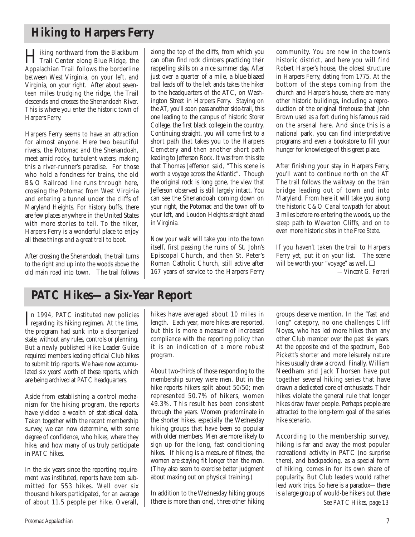# **Hiking to Harpers Ferry**

Hiking northward from the Blackburn Trail Center along Blue Ridge, the Appalachian Trail follows the borderline between West Virginia, on your left, and Virginia, on your right. After about seventeen miles trudging the ridge, the Trail descends and crosses the Shenandoah River. This is where you enter the historic town of Harpers Ferry.

Harpers Ferry seems to have an attraction for almost anyone. Here two beautiful rivers, the Potomac and the Shenandoah, meet amid rocky, turbulent waters, making this a river-runner's paradise. For those who hold a fondness for trains, the old B&O Railroad line runs through here, crossing the Potomac from West Virginia and entering a tunnel under the cliffs of Maryland Heights. For history buffs, there are few places anywhere in the United States with more stories to tell. To the hiker, Harpers Ferry is a wonderful place to enjoy all these things and a great trail to boot.

After crossing the Shenandoah, the trail turns to the right and up into the woods above the old main road into town. The trail follows

along the top of the cliffs, from which you can often find rock climbers practicing their rappelling skills on a nice summer day. After just over a quarter of a mile, a blue-blazed trail leads off to the left ands takes the hiker to the headquarters of the ATC, on Washington Street in Harpers Ferry. Staying on the AT, you'll soon pass another side-trail, this one leading to the campus of historic Storer College, the first black college in the country. Continuing straight, you will come first to a short path that takes you to the Harpers Cemetery and then another short path leading to Jefferson Rock. It was from this site that Thomas Jefferson said, "This scene is worth a voyage across the Atlantic". Though the original rock is long gone, the view that Jefferson observed is still largely intact. You can see the Shenandoah coming down on your right, the Potomac and the town off to your left, and Loudon Heights straight ahead in Virginia.

Now your walk will take you into the town itself, first passing the ruins of St. John's Episcopal Church, and then St. Peter's Roman Catholic Church, still active after 167 years of service to the Harpers Ferry community. You are now in the town's historic district, and here you will find Robert Harper's house, the oldest structure in Harpers Ferry, dating from 1775. At the bottom of the steps coming from the church and Harper's house, there are many other historic buildings, including a reproduction of the original firehouse that John Brown used as a fort during his famous raid on the arsenal here. And since this is a national park, you can find interpretative programs and even a bookstore to fill your hunger for knowledge of this great place.

After finishing your stay in Harpers Ferry, you'll want to continue north on the AT The trail follows the walkway on the train bridge leading out of town and into Maryland. From here it will take you along the historic C&O Canal towpath for about 3 miles before re-entering the woods, up the steep path to Weverton Cliffs, and on to even more historic sites in the Free State.

If you haven't taken the trail to Harpers Ferry yet, put it on your list. The scene will be worth your "voyage" as well. ❑ *—Vincent G. Ferrari*

# **PATC Hikes—a Six-Year Report**

In 1994, PATC instituted new policies<br>regarding its hiking regimen. At the time, regarding its hiking regimen. At the time, the program had sunk into a disorganized state, without any rules, controls or planning. But a newly published Hike Leader Guide required members leading official Club hikes to submit trip reports. We have now accumulated six years' worth of these reports, which are being archived at PATC headquarters.

Aside from establishing a control mechanism for the hiking program, the reports have yielded a wealth of statistical data. Taken together with the recent membership survey, we can now determine, with some degree of confidence, who hikes, where they hike, and how many of us truly participate in PATC hikes.

In the six years since the reporting requirement was instituted, reports have been submitted for 553 hikes. Well over six thousand hikers participated, for an average of about 11.5 people per hike. Overall, hikes have averaged about 10 miles in length. Each year, more hikes are reported, but this is more a measure of increased compliance with the reporting policy than it is an indication of a more robust program.

About two-thirds of those responding to the membership survey were men. But in the hike reports hikers split about 50/50; men represented 50.7% of hikers, women 49.3%. This result has been consistent through the years. Women predominate in the shorter hikes, especially the Wednesday hiking groups that have been so popular with older members. Men are more likely to sign up for the long, fast conditioning hikes. If hiking is a measure of fitness, the women are staying fit longer than the men. (They also seem to exercise better judgment about maxing out on physical training.)

In addition to the Wednesday hiking groups (there is more than one), three other hiking

groups deserve mention. In the "fast and long" category, no one challenges Cliff Noyes, who has led more hikes than any other Club member over the past six years. At the opposite end of the spectrum, Bob Pickett's shorter and more leisurely nature hikes usually draw a crowd. Finally, William Needham and Jack Thorsen have put together several hiking series that have drawn a dedicated core of enthusiasts. Their hikes violate the general rule that longer hikes draw fewer people. Perhaps people are attracted to the long-term goal of the series hike scenario.

According to the membership survey, hiking is far and away the most popular recreational activity in PATC (no surprise there), and backpacking, as a special form of hiking, comes in for its own share of popularity. But Club leaders would rather lead work trips. So here is a paradox—there is a large group of would-be hikers out there *See PATC Hikes, page 13*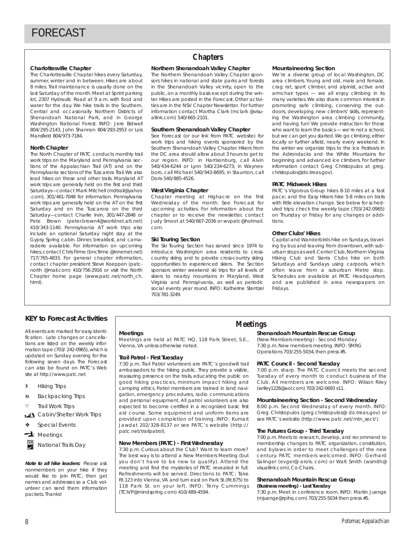### **Charlottesville Chapter**

The Charlottesville Chapter hikes every Saturday, summer, winter and in between. Hikes are about 8 miles. Trail maintenance is usually done on the last Saturday of the month.Meet at Sprint parking lot, 2307 Hydraulic Road at 9 a.m. with food and water for the day. We hike trails in the Southern, Central and occasionally Northern Districts of Shenandoah National Park, and in George Washington National Forest. INFO: Jere Bidwell 804/295-2143, John Shannon 804/293-2953 or Lois Mansfield 804/973-7184.

#### **North Chapter**

The North Chapter of PATC conducts monthly trail work trips on the Maryland and Pennsylvania sections of the Appalachian Trail (AT) and on the Pennsylvania sections of the Tuscarora Trail.We also lead hikes on these and other trails. Maryland AT work trips are generally held on the first and third Saturdays—contact Mark Mitchell (mdtrail@yahoo .com), 301/461-7048 for information. Pennsylvania work trips are generally held on the AT on the first Saturday and on the Tuscarora on the third Saturday—contact Charlie Irvin, 301/447-2848 or Pete Brown (peter.brown4@worldnet.att.net) 410/343-1140. Pennsylvania AT work trips also include an optional Saturday night stay at the Gypsy Spring cabin. Dinner, breakfast, and camaraderie available. For information on upcoming hikes, contact Chris Firme (bncfirme @innernet.net) 717/765-4833. For general chapter information, contact chapter president Steve Koeppen (patcnorth @mail.com) 410/756-2916 or visit the North Chapter home page (www.patc.net/north\_ch. html).

## **Chapters**

#### **Northern Shenandoah Valley Chapter**

The Northern Shenandoah Valley Chapter sponsors hikes in national and state parks and forests in the Shenandoah Valley vicinity, open to the public, on a monthly basis except during the winter. Hikes are posted in the Forecast. Other activities are in the NSV Chapter Newsletter. For further information contact Martha Clark (mclark @visuallink.com) 540/665-2101.

#### **Southern Shenandoah Valley Chapter**

See Forecast (or our link from PATC website) for work trips and hiking events sponsored by the Southern Shenandoah Valley Chapter. Hikers from the DC area should allow about 3 hours to get to our region. INFO: in Harrisonburg, call Alvin 540/434-6244 or Lynn 540/234-6273; in Waynesboro, call Michael 540/943-8695; in Staunton, call Doris 540/885-4526.

#### **West Virginia Chapter**

Chapter meeting at Highacre on the first Wednesday of the month. See Forecast for upcoming activities. For information about the chapter or to receive the newsletter, contact Judy Smoot at 540/667-2036 or wvpatc@hotmail. com.

#### **Ski Touring Section**

The Ski Touring Section has served since 1974 to introduce Washington area residents to crosscountry skiing and to provide cross-country skiing opportunities to experienced skiers. The Section sponsors winter weekend ski trips for all levels of skiers to nearby mountains in Maryland, West Virginia and Pennsyl-vania, as well as periodic social events year round. INFO: Katherine Stentzel 703/781-3249.

#### **Mountaineering Section**

We're a diverse group of local Washington, DC area climbers. Young and old, male and female, crag rat, sport climber, and alpinist, active and armchair types — we all enjoy climbing in its many varieties.We also share common interest in promoting safe climbing, conserving the outdoors, developing new climbers' skills, representing the Washington area climbing community, and having fun! We provide instruction for those who want to learn the basics — we're not a school, but we can get you started. We go climbing, either locally or further afield, nearly every weekend. In the winter we organize trips to the Ice Festivals in the Adirondacks and the White Mountains for beginning and advanced ice climbers. For further information contact Greg Christopulos at greg. christopulos@do.treas.gov).

#### **PATC Midweek Hikes**

PATC's Vigorous Group hikes 8-10 miles at a fast pace; and the Easy Hikers hike 5-8 miles on trails with little elevation change. See below for scheduled trips; check the weekly tape (703/242-0965) on Thursday or Friday for any changes or additions.

#### **Other Clubs' Hikes**

Capital and Wanderbirds hike on Sundays, traveling by bus and leaving from downtown, with suburban stops as well. Center Club, Northern Virginia Hiking Club and Sierra Clubs hike on both Saturdays and Sundays using carpools, which often leave from a suburban Metro stop. Schedules are available at PATC Headquarters and are published in area newspapers on Fridays.

## **KEY to Forecast Activities**

All events are marked for easy identification. Late changes or cancellations are listed on the weekly information tape (703/ 242-0965), which is updated on Sunday evening for the following seven days. The Forecast can also be found on PATC's Web site at http://www.patc.net

- ` Hiking Trips
- **M** Backpacking Trips
- **Trail Work Trips**
- Cabin/Shelter Work Trips
- Special Events
- $\rightarrow$  Meetings
- National Trails Day

**Note to all hike leaders:** Please ask nonmembers on your hike if they would like to join PATC, then get names and addresses so a Club volunteer can send them information packets. Thanks!

#### **Meetings**

Meetings are held at PATC HQ, 118 Park Street, S.E., Vienna,VA unless otherwise noted.

#### **Trail Patrol - First Tuesday**

7:30 p.m. Trail Patrol volunteers are PATC's goodwill trail ambassadors to the hiking public. They provide a visible, reassuring presence on the trails, educating the public on good hiking practices, minimum impact hiking and camping ethics. Patrol members are trained in land navigation, emergency procedures, radio communications and personal equipment. All patrol volunteers are also expected to become certified in a recognized basic first aid course. Some equipment and uniform items are provided upon completion of training. INFO: Kumait Jawdat 202/328-8137 or see PATC's website (http:// patc.net/trailpatrol).

#### **New Members (PATC) - First Wednesday**

7:30 p.m. Curious about the Club? Want to learn more? The best way is to attend a New Members Meeting (but you don't have to be new to qualify). Attend the meeting and find the mysteries of PATC revealed in full. Refreshments will be served. Directions to PATC: Take Rt.123 into Vienna,VA and turn east on Park St.(Rt.675) to 118 Park St. on your left. INFO: Terry Cummings (TCIVP@mindspring.com) 410/489-4594.

## **Meetings**

#### **Shenandoah Mountain Rescue Group**

(New Members meeting) - Second Monday 7:30 p.m. New members meeting. INFO: SMRG Operations 703/255-5034,then press #5.

#### **PATC Council - Second Tuesday**

7:00 p.m. sharp. The PATC Council meets the second Tuesday of every month to conduct business of the Club. All members are welcome. INFO: Wilson Riley (wriley1226@aol.com) 703/242-0693 x11.

#### **Mountaineering Section - Second Wednesday**

8:00 p.m. Second Wednesday of every month. INFO: Greg Christopulos (greg.christopulos@ do.treas.gov) or see PATC's website (http://www.patc.net/mtn\_sect/).

#### **The Futures Group - Third Tuesday**

7:00 p.m. Meets to research, develop, and recommend to membership changes to PATC organization, constitution, and bylaws in order to meet challenges of the new century. PATC members welcomed. INFO: Gerhard Salinger (evger@ erols. com) or Walt Smith (wsmith@ visuallink.com), Co-Chairs.

## **Shenandoah Mountain Rescue Group**

**(Business meeting) - Last Tuesday**  7:30 p.m. Meet in conference room. INFO: Martin Juenge (mjuenge@rpihq.com) 703/255-5034 then press #5.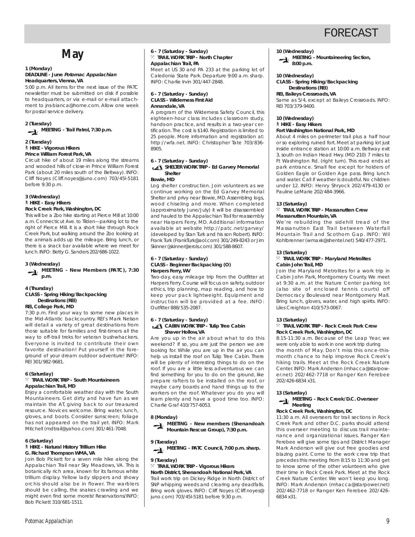# **May**

#### **1 (Monday) DEADLINE - June Potomac Appalachian Headquarters, Vienna, VA**

5:00 p.m. All items for the next issue of the PATC newsletter must be submitted on disk if possible to headquarters, or via e-mail or e-mail attachment to jns-bianca@home.com. Allow one week for postal service delivery.

**2 (Tuesday) MEETING - Trail Patrol, 7:30 p.m.**

#### **2 (Tuesday)**

` **HIKE - Vigorous Hikers**

**Prince William Forest Park, VA**

Circuit hike of about 19 miles along the streams and wooded hills of close-in Prince William Forest Park (about 20 miles south of the Beltway). INFO: Cliff Noyes (Cliff.noyes@juno.com) 703/45l-5181 before 9:30 p.m.

#### **3 (Wednesday)** ` **HIKE - Easy Hikers Rock Creek Park, Washington, DC**

This will be a Zoo hike starting at Pierce Mill at 10:00 a.m. Connecticut Ave. to Tilden—parking lot to the right of Pierce Mill. It is a short hike through Rock Creek Park, but walking around the Zoo looking at the animals adds up the mileage. Bring lunch, or there is a snack bar available where we meet for lunch.INFO: Betty G. Sanders 202/686-1022.

#### **3 (Wednesday)**

**MEETING - New Members (PATC), 7:30 p.m.**

#### **4 (Thursday) CLASS - Spring Hiking/Backpacking Destinations (REI)**

**REI, College Park, MD**

7:30 p.m. Find your way to some new places in the Mid-Atlantic backcountry. REI's Mark Nelson will detail a variety of great destinations from those suitable for families and first-timers all the way to off-trail treks for veteran bushwhackers. Everyone is invited to contribute their own favorite destination! Put yourself in the foreground of your dream outdoor adventure! INFO: REI 301/982-9681.

#### **6 (Saturday)**

#### $%$  TRAIL WORK TRIP - South Mountaineers **Appalachian Trail, MD**

Enjoy a comfortable weather day with the South Mountaineers. Get dirty and have fun as we maintain the AT, giving back to our treasured resource. Novices welcome. Bring water, lunch, gloves, and boots. Consider sunscreen; foliage has not appeared on the trail yet. INFO: Mark Mitchell (mdtrail@yahoo.com) 301/461-7048.

#### **6 (Saturday)**

#### ` **HIKE - Natural History Trillium Hike G. Richard Thompson WMA, VA**

Join Bob Pickett for a seven mile hike along the Appalachian Trail near Sky Meadows, VA. This is botanically rich area, known for its famous white trillium display. Yellow lady slippers and showy orchis should also be in flower. The warblers should be calling, the snakes crawling and we might even find some morels! Reservations/INFO: Bob Pickett 310/681-1511.

#### **6 - 7 (Saturday - Sunday)** } **TRAIL WORK TRIP - North Chapter Appalachian Trail, PA** Meet at US 30 and PA 233 at the parking lot of

Caledonia State Park. Departure 9:00 a.m. sharp. INFO: Charlie Irvin 301/447-2848.

#### **6 - 7 (Saturday - Sunday) CLASS - Wilderness First Aid Annandale, VA**

A program of the Wilderness Safety Council, this eighteen-hour class includes classroom study, hands-on practice, and results in a two-year certification. The cost is \$140. Registration is limited to 25 people. More information and registration at: http://wfa.net. INFO: Christopher Tate 703/836- 8905.

#### **6 - 7 (Saturday - Sunday)**

#### **SHELTER WORK TRIP - Ed Garvey Memorial Shelter**

#### **Bowie, MD**

Log shelter construction. Join volunteers as we continue working on the Ed Garvey Memorial Shelter and privy near Bowie, MD. Assembling logs, wood chiseling and more. When completed (approximately June/July) it will be disassembled and hauled to the Appalachian Trail for reassembly near Harpers Ferry, MD. Additional information available at website http://patc.net/garvey/ (developed by Stan Turk and his son Robert). INFO: Frank Turk (FrankTurk@aol.com) 301/249-8243 or Jim Skinner (jskinner@erols.com) 301/588-8607.

#### **6 - 7 (Saturday - Sunday) CLASS - Beginner Backpacking (O) Harpers Ferry, WV**

Two-day, easy mileage trip from the Outfitter at Harpers Ferry. Course will focus on safety, outdoor ethics, trip planning, map reading, and how to keep your pack lightweight. Equipment and instruction will be provided at a fee. INFO: Outfitter 888/535-2087.

#### **6 - 7 (Saturday - Sunday) CABIN WORK TRIP - Tulip Tree Cabin Shaver Hollow, VA**

Are you up in the air about what to do this weekend? If so, you are just the person we are looking for. While you are up in the air you can help us install the roof on Tulip Tree Cabin. There will be plenty of interesting things to do on the roof. If you are a little less adventurous we can find something for you to do on the ground, like prepare rafters to be installed on the roof, or maybe carry boards and hand things up to the workers on the roof. Whatever you do you will learn plenty and have a good time too. INFO: Charlie Graf 410/757-6053.

#### **8 (Monday)**



#### **9 (Tuesday)**



#### **9 (Tuesday)**

#### } **TRAIL WORK TRIP - Vigorous Hikers North District, Shenandoah National Park, VA**

Trail work trip on Dickey Ridge in North District of SNP whipping weeds and clearing any deadfalls. Bring work gloves. INFO: Cliff Noyes (Cliff.noyes@ juno.com) 703/45l-5181 before 9:30 p.m.

### **10 (Wednesday)**

**MEETING - Mountaineering Section, 8:00 p.m.**

## **10 (Wednesday)**

**CLASS - Spring Hiking/Backpacking Destinations (REI)**

#### **REI, Baileys Crossroads, VA**

Same as 5/4, except at Baileys Crossroads. INFO: REI 703/379-9400.

### **10 (Wednesday)** ` **HIKE - Easy Hikers**

#### **Fort Washington National Park, MD**

About 4 miles on perimeter trail plus a half hour or so exploring ruined fort. Meet at parking lot just inside entrance station at 10:00 a.m. Beltway exit 3, south on Indian Head Hwy. (MD 210) 7 miles to Ft Washington Rd. (right turn). This road ends at park entrance. Small fee except for holders of Golden Eagle or Golden Age pass. Bring lunch and water. Call if weather is doubtful. No children under 12. INFO: Henry Shryock 202/479-4130 or Pauline LeMarie 202/484-3966.

#### **13 (Saturday)**

#### } **TRAIL WORK TRIP - Massanutten Crew Massanutten Mountain, VA**

We're rebuilding the sidehill tread of the Massanutten East Trail between Waterfall Mountain Trail and Scothorn Gap. INFO: Wil Kohlbrenner (wmaxk@shentel.net) 540/477-2971.

#### **13 (Saturday)**

#### } **TRAIL WORK TRIP - Maryland Metrolites Cabin John Trail, MD**

Join the Maryland Metrolites for a work trip in Cabin John Park, Montgomery County. We meet at 9:30 a.m. at the Nature Center parking lot (also site of enclosed tennis courts) off Democracy Boulevard near Montgomery Mall. Bring lunch, gloves, water, and high spirits. INFO: Liles Creighton 410/573-0067.

#### **13 (Saturday)**

#### } **TRAIL WORK TRIP - Rock Creek Park Crew Rock Creek Park, Washington, DC**

8:15-11:30 a.m. Because of the Leap Year, we were only able to work in one work trip during the month of May. Don't miss this once-thismonth chance to help improve Rock Creek's hiking trails. Meet at the Rock Creek Nature Center. INFO: Mark Anderson (mhacca@starpower.net) 202/462-7718 or Ranger Ken Ferebee 202/426-6834 x31.

#### **13 (Saturday)**

### **MEETING - Rock Creek/D.C. Overseer Meeting**

#### **Rock Creek Park, Washington, DC**

11:30 a.m. All overseers for trail sections in Rock Creek Park and other D.C. parks should attend this overseer meeting to discuss trail maintenance and organizational issues. Ranger Ken Ferebee will give some tips and District Manager Mark Anderson will give out free goodies and blazing paint. Come to the work crew trip that precedes this meeting from 8:15 to 11:30 and get to know some of the other volunteers who give their time in Rock Creek Park. Meet at the Rock Creek Nature Center. We won't keep you long. INFO: Mark Anderson (mhacca@starpower.net) 202/462-7718 or Ranger Ken Ferebee 202/426- 6834 x31.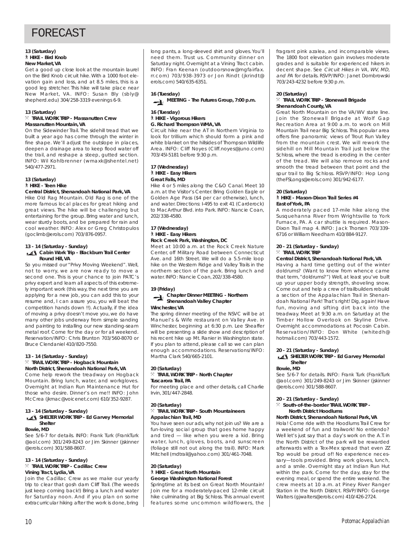#### **13 (Saturday)** ` **HIKE - Bird Knob New Market, VA**

Get a good up close look at the mountain laurel on the Bird Knob circuit hike. With a 1000 foot elevation gain and loss, and at 8.5 miles, this is a good leg stretcher. This hike will take place near New Market, VA. INFO: Susan Bly (sbly@ shepherd.edu) 304/258-3319 evenings 6-9.

#### **13 (Saturday)**

#### } **TRAIL WORK TRIP - Massanutten Crew Massanutten Mountain, VA**

On the Sidewinder Trail. The sidehill tread that we built a year ago has come through the winter in fine shape. We'll adjust the outslope in places, deepen a drainage area to keep flood water off the trail, and reshape a steep, gutted section. INFO: Wil Kohlbrenner (wmaxk@shentel.net) 540/477-2971.

#### **13 (Saturday)** ` **HIKE - Teen Hike**

## **Central District, Shenandoah National Park, VA**

Hike Old Rag Mountain. Old Rag is one of the more famous local places for great hiking and great views. The hike will be challenging but entertaining for the group. Bring water and lunch, wear sturdy boots, and be prepared for rain and cool weather. INFO: Alex or Greg Christopulos (goclimb@erols.com) 703/876-0957.

#### **13 - 14 (Saturday - Sunday) Cabin Work Trip - Blackburn Trail Center Round Hill, VA**

So you missed our "Privy Moving Weekend". Well, not to worry, we are now ready to move a second one. This is your chance to join PATC's privy expert and learn all aspects of this extremely important work (this way, the next time you are applying for a new job, you can add this to your resume and, I can assure you, you will beat the competition hands down !!). Actually, if the idea of moving a privy doesn't move you, we do have many other jobs underway from simple sanding and painting to installing our new standing-seam metal roof. Come for the day or for all weekend. Reservation/INFO: Chris Brunton 703/560-8070 or Bruce Clendaniel 410/820-7550.

#### **13 - 14 (Saturday - Sunday)**

#### } **TRAIL WORK TRIP - Hogback Mountain North District, Shenandoah National Park, VA**

Come help rework the treadway on Hogback Mountain. Bring lunch, water, and workgloves. Overnight at Indian Run Maintenance Hut for those who desire. Dinner's on me!! INFO: John McCrea (jkmac@voicenet.com) 610/352-9287.

#### **13 - 14 (Saturday - Sunday)**

#### **SHELTER WORK TRIP - Ed Garvey Memorial Shelter**

#### **Bowie, MD**

See 5/6-7 for details. INFO: Frank Turk (FrankTurk @aol.com) 301/249-8243 or Jim Skinner (jskinner @erols.com) 301/588-8607.

#### **13 - 14 (Saturday - Sunday)**

#### } **TRAIL WORK TRIP - Cadillac Crew Vining Tract, Lydia, VA**

Join the Cadillac Crew as we make our yearly trip to clear that gosh darn Cliff Trail. (The weeds just keep coming back!) Bring a lunch and water for Saturday noon. And if you plan on some extracurricular hiking after the work is done, bring

long pants, a long-sleeved shirt and gloves. You'll need them. Trust us. Community dinner on Saturday night. Overnight at a Vining Tract cabin. INFO: Fran Keenan (outdoorsnow@mgfairfax. rr.com) 703/938-3973 or Jon Rindt (jkrindt@ erols.com) 540/635-6351.

**16 (Tuesday) MEETING - The Futures Group, 7:00 p.m.**

#### **16 (Tuesday)** ` **HIKE - Vigorous Hikers G. Richard Thompson WMA, VA**

Circuit hike near the AT in Northern Virginia to look for trillium which should form a pink and white blanket on the hillsides of Thompson Wildlife Area. INFO: Cliff Noyes (Cliff.noyes@juno.com) 703/45l-5181 before 9:30 p.m.

#### **17 (Wednesday)** ` **HIKE - Easy Hikers Great Falls, MD**

Hike 4 or 5 miles along the C&O Canal. Meet 10 a.m. at the Visitor's Center. Bring Golden Eagle or Golden Age Pass (\$4 per car otherwise), lunch, and water. Directions: I-495 to exit 41 (Carderock) to MacArthur Blvd. into Park. INFO: Nancie Coan, 202/338-4580.

#### **17 (Wednesday)** ` **HIKE - Easy Hikers Rock Creek Park, Washington, DC**

Meet at 10:00 a.m. at the Rock Creek Nature Center, off Military Road between Connecticut Ave. and 16th Street. We will do a 5.5-mile loop hike on the Western Ridge and Valley Trails in the northern section of the park. Bring lunch and water. INFO: Nancie Coan, 202/338-4580.

#### **19 (Friday)**

## **Chapter Dinner MEETING - Northern Shenandoah Valley Chapter**

#### **Winchester, VA**

The spring dinner meeting of the NSVC will be at Manuel's & Wife restaurant on Valley Ave. in Winchester, beginning at 6:30 p.m. Lee Sheaffer will be presenting a slide show and description of his recent hike up Mt. Ranier in Washington state. If you plan to attend, please call so we can plan enough accommodations. Reservations/INFO: Martha Clark 540/665-2101.

#### **20 (Saturday)** } **TRAIL WORK TRIP - North Chapter**

## **Tuscarora Trail, PA**

For meeting place and other details, call Charlie Irvin, 301/447-2848.

#### **20 (Saturday)**

#### $%$  TRAIL WORK TRIP - South Mountaineers **Appalachian Trail, MD**

You have seen our ads, why not join us? We are a fun-loving social group that goes home happy and tired — like when you were a kid. Bring water, lunch, gloves, boots, and sunscreen (foliage still not out along the trail). INFO: Mark Mitchell (mdtrail@yahoo.com) 301/461-7048.

#### **20 (Saturday)** ` **HIKE - Great North Mountain George Washington National Forest**

Springtime at its best on Great North Mountain! Join me for a moderately-paced 12-mile circuit hike culminating at Big Schloss. This annual event features some uncommon wildflowers, the fragrant pink azalea, and incomparable views. The 1800 foot elevation gain involves moderate grades and is suitable for experienced hikers in decent shape. See Circuit Hikes in VA, WV, MD, and PA for details. RSVP/INFO: Janet Dombrowski 703/243-4232 before 9:30 p.m.

#### **20 (Saturday)** } **TRAIL WORK TRIP - Stonewall Brigade Shenandoah County, VA**

Great North Mountain on the VA/WV state line. Join the Stonewall Brigade at Wolf Gap Recreation Area at 9:00 a.m. to work on Mill Mountain Trail near Big Schloss. This popular area offers fine panoramic views of Trout Run Valley from the mountain crest. We will rework the sidehill on Mill Mountain Trail just below the Schloss, where the tread is eroding in the center of the tread. We will also remove rocks and smooth the tread between that point and the spur trail to Big Schloss. RSVP/INFO: Hop Long (theFSLongs@erols.com) 301/942-6177.

#### **20 (Saturday)**

#### ` **HIKE - Mason-Dixon Trail Series #4 East of York, PA**

A moderately paced 17-mile hike along the Susquehanna River from Wrightsville to York Furnace, PA. A car shuttle is required. Mason-Dixon Trail map 4. INFO: Jack Thorsen 703/339- 6716 or William Needham 410/884-9127.

#### **20 - 21 (Saturday - Sunday)**  $%$  **TRAIL WORK TRIP**

## **Central District, Shenandoah National Park, VA**

Having a hard time getting out of the winter doldrums? (Want to know from whence came that term, "doldrums?") Well, at least you've built up your upper body strength, shoveling snow. Come out and help a crew of trailbuilders rebuild a section of the Appalachian Trail in Shenandoah National Park! That's right! Dig, again! Have fun, moving and sifting dirt back into the treadway. Meet at 9:30 a.m. on Saturday at the Timber Hollow Overlook on Skyline Drive. Overnight accommodations at Pocosin Cabin. Reservation/INFO: Don White (whitedh@ hotmail.com) 703/443-1572.

#### **20 - 21 (Saturday - Sunday) SHELTER WORK TRIP - Ed Garvey Memorial**

## **Shelter**

**Bowie, MD**

See 5/6-7 for details. INFO: Frank Turk (FrankTurk @aol.com) 301/249-8243 or Jim Skinner (jskinner @erols.com) 301/588-8607.

### **20 - 21 (Saturday - Sunday)**

#### $\%$  South-of-the-border TRAIL WORK TRIP -**North District Hoodlums**

#### **North District, Shenandoah National Park, VA**

Hola! Come ride with the Hoodlums Trail Crew for a weekend of fun and trailwork! No entiendo? Well let's just say that a day's work on the A.T. in the North District of the park will be rewarded afterwards with a Tex-Mex spread that even ZZ Top would be proud of! No experience necessary—tools provided. Bring work gloves, lunch, and a smile. Overnight stay at Indian Run Hut within the park. Come for the day, stay for the evening meal, or spend the entire weekend. The crew meets at 10 a.m. at Piney River Ranger Station in the North District. RSVP/INFO: George Walters (gjwalters@erols.com) 410/426-2724.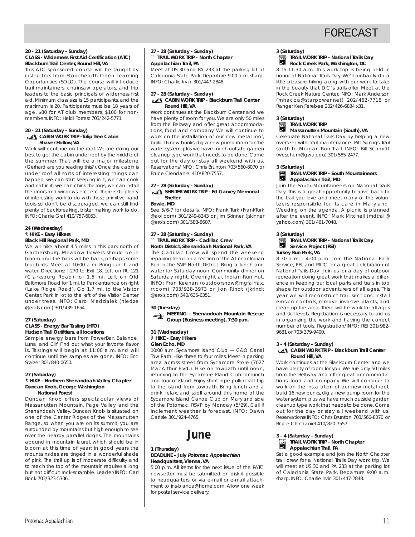#### **20 - 21 (Saturday - Sunday) CLASS - Wilderness First Aid Certification (ATC) Blackburn Trail Center, Round Hill, VA**

This ATC-sponsored course will be taught by instructors from Stonehearth Open Learning Opportunities (SOLO). The course will introduce trail maintainers, chainsaw operators, and trip leaders to the basic principals of wilderness first aid. Minimum class size is 15 participants, and the maximum is 20. Participants must be 18 years of age. \$80 for AT club members, \$100 for nonmembers. INFO: Heidi Forrest 703/242-5771.

#### **20 - 21 (Saturday - Sunday) CABIN WORK TRIP -Tulip Tree Cabin Shaver Hollow, VA**

Work will continue on the roof. We are doing our best to get the cabin under roof by the middle of the summer. That will be a major milestone (Gerhard are you reading this?). Once the cabin is under roof all sorts of interesting things can happen; we can start sleeping in it; we can cook and eat in it; we can chink the logs; we can install the doors and windows, etc., etc. There is still plenty of interesting work to do with those primitive hand tools so don't be discouraged, we can still find plenty of backbreaking, blister making work to do. INFO: Charlie Graf 410/757-6053.

#### **24 (Wednesday)** ` **HIKE - Easy Hikers Black Hill Regional Park, MD**

We will hike about 4.5 miles in this park north of Gaithersburg. Meadow flowers should be in bloom and the birds will be back, perhaps some bluebirds. Meet at 10:00 a.m. Bring lunch and water. Directions: I-270 to Exit 18. Left on Rt. 121 (Clarksburg Road) for 1.5 mi. Left on Old Baltimore Road for 1 mi. to Park entrance on right (Lake Ridge Road). Go 1.7 mi. to the Visitor Center. Park in lot to the left of the Visitor Center under trees. INFO: Carol Niedzialek (niedze @erols.com) 301/439-1654.

#### **27 (Saturday) CLASS - Energy Bar Tasting (HTO) Hudson Trail Outfitters, all locations**

Sample energy bars from PowerBar, Balance, Luna, and Clif. Find out what your favorite flavor is. Tastings will begin at 11:00 a.m. and will continue until the samples are gone. INFO: Eric Stalzer 301/840-0650.

#### **27 (Saturday)**

#### ` **HIKE - Northern Shenandoah Valley Chapter Duncan Knob, George Washington National Forest**

Duncan Knob offers spectacular views of Massanutten Mountain, Page Valley, and the Shenandoah Valley. Duncan Knob is situated on one of the Center Ridges of the Massanutten Range, so when you are on its summit, you are surrounded by mountains but high enough to see over the nearby parallel ridges. The mountains abound in mountain laurel, which should be in bloom at this time of year; in good years the mountainsides are tinged in a wonderful shade of pink. The trail up is of moderate difficulty and to reach the top of the mountain requires a long but not difficult rock-scramble. Leader/INFO: Carl Bock 703/323-5306.

#### **27 - 28 (Saturday - Sunday)** } **TRAIL WORK TRIP - North Chapter Appalachian Trail, PA**

Meet at US 30 and PA 233 at the parking lot of Caledonia State Park. Departure 9:00 a.m. sharp. INFO: Charlie Irvin, 301/447-2848.

#### **27 - 28 (Saturday - Sunday) CABIN WORK TRIP - Blackburn Trail Center Round Hill, VA**

Work continues at the Blackburn Center and we have plenty of room for you. We are only 50 miles from the Beltway and offer great accommodations, food and company. We will continue to work on the installation of our new metal roof. build 16 new bunks, dig a new pump room for the water system, plus we have much outside garden cleanup type work that needs to be done. Come out for the day or stay all weekend with us. Reservations/INFO: Chris Brunton 703/560-8070 or Bruce Clendaniel 410/820-7557.

## **27 - 28 (Saturday - Sunday)**

#### **SHELTER WORK TRIP - Ed Garvey Memorial Shelter**

#### **Bowie, MD**

See 5/6-7 for details. INFO: Frank Turk (FrankTurk @aol.com) 301/249-8243 or Jim Skinner (jskinner @erols.com) 301/588-8607.

#### **27 - 28 (Saturday - Sunday)** } **TRAIL WORK TRIP - Cadillac Crew North District, Shenandoah National Park, VA**

The Cadillac Crew will spend the weekend repairing tread on a section of the AT near Indian Run in the SNP North District. Bring a lunch and water for Saturday noon. Community dinner on Saturday night. Overnight at Indian Run Hut. INFO: Fran Keenan (outdoorsnow@mgfairfax. rr.com) 703/938-3973 or Jon Rindt (jkrindt @erols.com) 540/635-6351.

#### **30 (Tuesday)**

**MEETING - Shenandoah Mountain Rescue Group (Business meeting), 7:30 p.m.**

#### **31 (Wednesday)** ` **HIKE - Easy Hikers Glen Echo, MD**

10:00 a.m. Sycamore Island Club — C&O Canal Tow Path. Hike three to four miles. Meet in parking area across street from Sycamore Store (7027 MacArthur Blvd.). Hike on towpath until noon, returning to the Sycamore Island Club for lunch and tour of island. Enjoy short rope-pulled raft trip to the island from towpath. Bring lunch and a drink, relax, and stroll around this home of the Sycamore Island Canoe Club on Maryland side of the Potomac. RSVP by Monday (5/29). Call if inclement weather is forecast. INFO: Dawn Carlisle 301/924-4765.

## **June**

#### **1 (Thursday) DEADLINE - July Potomac Appalachian Headquarters, Vienna, VA**

5:00 p.m. All items for the next issue of the PATC newsletter must be submitted on disk if possible to headquarters, or via e-mail or e-mail attachment to jns-bianca@home.com. Allow one week for postal service delivery.

#### **3 (Saturday)**

#### 藚 **TRAIL WORK TRIP - National Trails Day Rock Creek Park, Washington, DC**

8:15-11:30 a.m. This work trip is being held in honor of National Trails Day. We'll probably do a little pleasure hiking along with our work to take in the beauty that D.C.'s trails offer. Meet at the Rock Creek Nature Center. INFO: Mark Anderson (mhacca@starpower.net) 202/462-7718 or Ranger Ken Ferebee 202/426-6834 x31.

### **3 (Saturday)**

## **TRAIL WORK TRIP**

#### **Massanutten Mountain (South), VA**

Celebrate National Trails Day by helping a new overseer with trail maintenance. Pitt Springs Trail south to Morgan Run Trail. INFO: Bill Schmidt (weschem@gwu.edu) 301/585-2477.

#### **3 (Saturday)**

#### **TRAIL WORK TRIP - South Mountaineers** 闛 **Appalachian Trail, MD**

Join the South Mountaineers on National Trails Day. This is a great opportunity to give back to the trail you love and meet many of the volunteers responsible for its care in Maryland. Weeding on the agenda. A picnic is planned after the event. INFO: Mark Mitchell (mdtrail@ yahoo.com) 301/461-7048.

#### **3 (Saturday)**

## **TRAIL WORK TRIP - National Trails Day Service Project (REI)**<br>Service Project (REI)

#### **Turkey Run Park, VA**

8:30 a.m. - 4:00 p.m. Join the National Park Service, REI, and PATC for a great celebration of National Trails Day! Join us for a day of outdoor recreation doing great work that makes a difference in keeping our local parks and trails in top shape for outdoor adventurers of all ages. This year we will reconstruct trail sections, install erosion controls, remove invasive plants, and clean up the area. There will be work for all ages and skill levels. Registration is necessary to aid us in organizing the work and having the correct number of tools. Registration/INFO: REI 301/982- 9681 or 703/379-9400.

#### **3 - 4 (Saturday - Sunday) CABIN WORK TRIP - Blackburn Trail Center Round Hill, VA**

Work continues at the Blackburn Center and we have plenty of room for you. We are only 50 miles from the Beltway and offer great accommodations, food and company. We will continue to work on the installation of our new metal roof, build 16 new bunks,dig a new pump room for the water system, plus we have much outside garden cleanup type work that needs to be done. Come out for the day or stay all weekend with us. Reservations/INFO: Chris Brunton 703/560-8070 or Bruce Clendaniel 410/820-7557.

#### **3 - 4 (Saturday - Sunday) TRAIL WORK TRIP - North Chapter** ÿ **Appalachian Trail, PA**

Set a good example and join the North Chapter trail crew for a National Trails Day work trip. We will meet at US 30 and PA 233 at the parking lot of Caledonia State Park. Departure 9:00 a.m. sharp. INFO: Charlie Irvin 301/447-2848.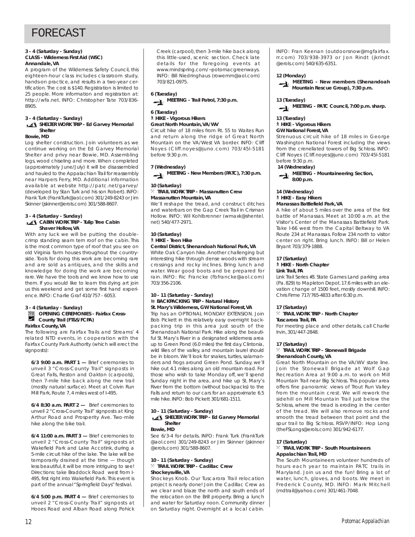#### **3 - 4 (Saturday - Sunday) CLASS - Wilderness First Aid (WSC) Annandale, VA**

A program of the Wilderness Safety Council, this eighteen-hour class includes classroom study, hands-on practice, and results in a two-year certification. The cost is \$140. Registration is limited to 25 people. More information and registration at: http://wfa.net. INFO: Christopher Tate 703/836- 8905.

#### **3 - 4 (Saturday - Sunday)**

#### **SHELTER WORK TRIP - Ed Garvey Memorial Shelter**

#### **Bowie, MD**

Log shelter construction. Join volunteers as we continue working on the Ed Garvey Memorial Shelter and privy near Bowie, MD. Assembling logs, wood chiseling and more. When completed (approximately June/July) it will be disassembled and hauled to the Appalachian Trail for reassembly near Harpers Ferry, MD. Additional information available at website http://patc.net/garvey/ (developed by Stan Turk and his son Robert). INFO: Frank Turk (FrankTurk@aol.com) 301/249-8243 or Jim Skinner (jskinner@erols.com) 301/588-8607.

#### **3 - 4 (Saturday - Sunday) CABIN WORK TRIP - Tulip Tree Cabin Shaver Hollow, VA**

With any luck we will be putting the doublecrimp standing seam tern roof on the cabin. This is the most common type of roof that you see on old Virginia farm houses throughout the countryside. Tools for doing this work are becoming rare and are sold as antiques, and the skills and knowledge for doing the work are becoming rare. We have the tools and we know how to use them. If you would like to learn this dying art join us this weekend and get some first hand experience. INFO: Charlie Graf 410/757 - 6053.

#### **3 - 4 (Saturday - Sunday) B** OPENING CEREMONIES - Fairfax Cross-P. **County Trail (FT&S/FCPA)**

**Fairfax County, VA**

The following are Fairfax Trails and Streams' 4 related NTD events, in cooperation with the Fairfax County Park Authority (which will erect the signposts):

**6/3 9:00 a.m. PART 1 —** Brief ceremonies to unveil 3 "Cross-County Trail" signposts in Great Falls, Reston and Oakton (carpools), then 7-mile hike back along the new trail (mostly natural surface). Meet at Colvin Run Mill Park, Route 7, 4 miles west of I-495.

**6/4 8:30 a.m. PART 2 —** Brief ceremonies to unveil 2 "Cross-County Trail" signposts at King Arthur Road and Prosperity Ave. Two-mile hike along the bike trail.

**6/4 11:00 a.m. PART 3 —** Brief ceremonies to unveil 2 "Cross-County Trail" signposts at Wakefield Park and Lake Accotink, during a 5-mile circuit hike of the lake. The lake will be temporarily drained at the time — though less beautiful, it will be more intriguing to see! Directions: take Braddock Road west from I-495, first right into Wakefield Park. This event is part of the annual "Springfield Days" festival.

**6/4 5:00 p.m. PART 4 —** Brief ceremonies to unveil 2 "Cross-County Trail" signposts at Hooes Road and Alban Road along Pohick

Creek (carpool), then 3-mile hike back along this little-used, scenic section. Check late details for the foregoing events at www.mindspring.com/~potomacgreenways. INFO: Bill Niedringhaus (rowemm@aol.com) 703/821-0975.

**6 (Tuesday) MEETING - Trail Patrol, 7:30 p.m.**

## **6 (Tuesday)**

` **HIKE - Vigorous Hikers Great North Mountain, VA/WV**

Circuit hike of 18 miles from Rt. 55 to Waites Run and return along the ridge of Great North Mountain on the VA/West VA border. INFO: Cliff Noyes (Cliff.noyes@juno.com) 703/45l-5181 before 9:30 p.m.

#### **7 (Wednesday)**

**MEETING - New Members (PATC), 7:30 p.m.**

### **10 (Saturday)**

#### } **TRAIL WORK TRIP - Massanutten Crew Massanutten Mountain, VA**

We'll reshape the tread, and construct ditches and waterbars on the Gap Creek Trail in Crisman Hollow. INFO: Wil Kohlbrenner (wmaxk@shentel. net) 540/477-2971.

#### **10 (Saturday)** ` **HIKE - Teen Hike**

#### **Central District, Shenandoah National Park, VA**

White Oak Canyon hike. Another challenging but interesting hike through dense woods with stream crossings and rocky inclines. Bring lunch and water. Wear good boots and be prepared for rain. INFO: Ric Francke (fbfrancke@aol.com) 703/356-2106.

#### **10 - 11 (Saturday - Sunday) M** BACKPACKING TRIP - Natural History **St. Mary's Wilderness, GW National Forest, VA**

Trip has an OPTIONAL MONDAY EXTENSION. Join Bob Pickett in this relatively easy overnight backpacking trip in this area just south of the Shenandoah National Park. Hike along the beautiful St. Mary's River in a designated wilderness area up to Green Pond (6.0 miles) the first day. Clintonia, wild lilies of the valley, and mountain laurel should be in bloom. We'll look for snakes, turtles, salamanders and frogs around Green Pond. Sunday, we'll hike out 4.1 miles along an old mountain road. For those who wish to take Monday off, we'll spend Sunday night in the area, and hike up St. Mary's River from the bottom (without backpacks) to the Falls and return to our cars for an approximate 6.5 mile hike.INFO: Bob Pickett 301/681-1511.

#### **10 - 11 (Saturday - Sunday)**

#### **SHELTER WORK TRIP - Ed Garvey Memorial Shelter**

#### **Bowie, MD**

See 6/3-4 for details. INFO: Frank Turk (FrankTurk @aol.com) 301/249-8243 or Jim Skinner (jskinner @erols.com) 301/588-8607.

#### **10 - 11 (Saturday - Sunday)** } **TRAIL WORK TRIP - Cadillac Crew Shockeysville, VA**

Shockeys Knob. Our Tuscarora Trail relocation project is nearly done! Join the Cadillac Crew as we clear and blaze the north and south ends of the relocation on the Brill property. Bring a lunch and water for Saturday noon. Community dinner on Saturday night. Overnight at a local cabin.

INFO: Fran Keenan (outdoorsnow@mgfairfax. rr.com) 703/938-3973 or Jon Rindt (jkrindt @erols.com) 540/635-6351.

#### **12 (Monday)**



MEETING - New members (Shenandoah **Mountain Rescue Group), 7:30 p.m.**

#### **13 (Tuesday)**

**MEETING - PATC Council, 7:00 p.m. sharp.**

### **13 (Tuesday)**

## ` **HIKE - Vigorous Hikers**

#### **GW National Forest, VA**

Strenuous circuit hike of 18 miles in George Washington National Forest including the views from the crenellated towers of Big Schloss. INFO: Cliff Noyes (Cliff.noyes@juno.com) 703/45l-5181 before 9:30 p.m.

#### **14 (Wednesday)**

**MEETING - Mountaineering Section, 8:00 p.m.**

## **14 (Wednesday)** ` **HIKE - Easy Hikers**

#### **Manassas Battlefield Park, VA**

A hike of about 5 miles over the area of the first battle of Manassas. Meet at 10:00 a.m. at the Visitor's Center of the Manassas Battlefield Park. Take I-66 west from the Capital Beltway to VA Route 234 at Manassas. Follow 234 north to visitor center on right. Bring lunch. INFO: Bill or Helen Bryant 703/379-1888.

#### **17 (Saturday)**

#### ` **HIKE - North Chapter Link Trail, PA**

Link Trail Series #3. State Games Land parking area (Pa.829) to Mapleton Depot. 17.6 miles with an elevation change of 1500 feet, mostly downhill. INFO: Chris Firme 717/765-4833 after 6:30 p.m.

#### **17 (Saturday)**

#### } **TRAIL WORK TRIP - North Chapter Tuscarora Trail, PA**

For meeting place and other details, call Charlie Irvin, 301/447-2848.

#### **17 (Saturday)**

#### } **TRAIL WORK TRIP - Stonewall Brigade Shenandoah County, VA**

Great North Mountain on the VA/WV state line. Join the Stonewall Brigade at Wolf Gap Recreation Area at 9:00 a.m. to work on Mill Mountain Trail near Big Schloss. This popular area offers fine panoramic views of Trout Run Valley from the mountain crest. We will rework the sidehill on Mill Mountain Trail just below the Schloss, where the tread is eroding in the center of the tread. We will also remove rocks and smooth the tread between that point and the spur trail to Big Schloss. RSVP/INFO: Hop Long (theFSLongs@erols.com) 301/942-6177.

#### **17 (Saturday)**

#### } **TRAIL WORK TRIP - South Mountaineers Appalachian Trail, MD**

The South Mountaineers volunteer hundreds of hours each year to maintain PATC trails in Maryland. Join us and the fun! Bring a lot of water, lunch, gloves, and boots. We meet in Frederick County, MD. INFO: Mark Mitchell (mdtrail@yahoo.com) 301/461-7048.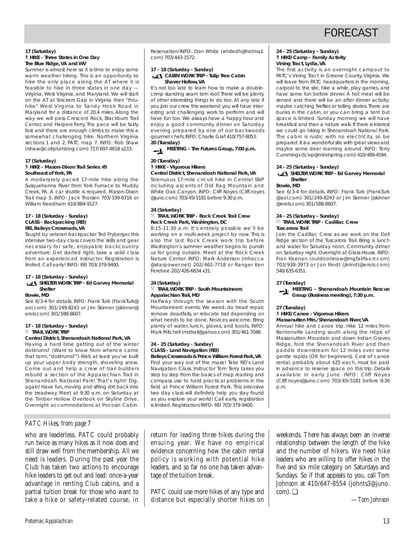#### **17 (Saturday)** ` **HIKE - Three States in One Day The Blue Ridge, VA and WV**

Summer is almost here so it is time to enjoy some warm weather hiking. This is an opportunity to hike the only place along the AT where it is feasible to hike in three states in one day — Virginia, West Virginia, and Maryland. We will start on the AT at Snickers Gap in Virginia then "thruhike" West Virginia to Sandy Hook Road in Maryland for a distance of 20.4 miles. Along the way we will pass Crescent Rock, Blackburn Trail Center, and Harpers Ferry. The pace will be fairly fast and there are enough climbs to make this a somewhat challenging hike. Northern Virginia sections 1 and 2, PATC map 7. INFO: Rob Shaw (rshaw@coltplumbing.com) 717/697-4618 x233.

#### **17 (Saturday)** ` **HIKE - Mason-Dixon Trail Series #5 Southeast of York, PA**

A moderately paced 17-mile hike along the Susquehanna River from York Furnace to Muddy Creek, PA. A car shuttle is required. Mason-Dixon Trail map 5. INFO: Jack Thorsen 703/339-6716 or William Needham 410/884-9127.

#### **17 - 18 (Saturday - Sunday) CLASS - Backpacking (REI) REI, Baileys Crossroads, VA**

Taught by veteran backpacker Ted Fryberger, this intensive two-day class covers the skills and gear necessary for safe, enjoyable backcountry adventure. Get started right, take a solid class from an experienced instructor. Registration is limited. Call early! INFO: REI 703/379-9400.

#### **17 - 18 (Saturday - Sunday)**

#### **SHELTER WORK TRIP - Ed Garvey Memorial Shelter**

#### **Bowie, MD**

See 6/3-4 for details. INFO: Frank Turk (FrankTurk@ aol.com) 301/249-8243 or Jim Skinner (jskinner@ erols.com) 301/588-8607.

#### **17 - 18 (Saturday - Sunday)**  $\times$  **TRAIL WORK TRIP**

#### **Central District, Shenandoah National Park, VA**

Having a hard time getting out of the winter doldrums? (Want to know from whence came that term, "doldrums?") Well, at least you've built up your upper body strength, shoveling snow. Come out and help a crew of trail builders rebuild a section of the Appalachian Trail in Shenandoah National Park! That's right! Dig, again! Have fun, moving and sifting dirt back into the treadway. Meet at 9:30 a.m. on Saturday at the Timber Hollow Overlook on Skyline Drive. Overnight accommodations at Pocosin Cabin.

## *PATC Hikes, from page 7*

who are leaderless. PATC could probably run twice as many hikes as it now does and still draw well from the membership. All we need is leaders. During the past year the Club has taken two actions to encourage hike leaders to get out and lead: once-a-year advantage in renting Club cabins, and a partial tuition break for those who want to take a hike or safety-related course, in

Reservation/INFO: Don White (whitedh@hotmail. com) 703/443-1572.

#### **17 - 18 (Saturday - Sunday) CABIN WORK TRIP - Tulip Tree Cabin Shaver Hollow, VA**

It's not too late to learn how to make a doublecrimp standing seam tern roof. There will be plenty of other interesting things to do too. At any rate if you join our crew this weekend you will have interesting and challenging work to perform and will have fun too. We always have a happy hour and enjoy a good community dinner on Saturday evening prepared by one of our backwoods gourmet chefs.INFO: Charlie Graf 410/757-6053. **20 (Tuesday)**

**MEETING - The Futures Group, 7:00 p.m.**

## **20 (Tuesday)** ` **HIKE - Vigorous Hikers**

**Central District, Shenandoah National Park, VA** Strenuous 17-mile circuit hike in Central SNP including ascents of Old Rag Mountain and White Oak Canyon. INFO: Cliff Noyes (Cliff.noyes @juno.com) 703/45l-5181 before 9:30 p.m.

#### **24 (Saturday)** } **TRAIL WORK TRIP - Rock Creek Trail Crew Rock Creek Park, Washington, DC**

8:15-11:30 a.m. It's entirely possible we'll be working on a multi-week project by now. This is also the last Rock Creek work trip before Washington's summer weather begins to punish us for going outside. Meet at the Rock Creek Nature Center. INFO: Mark Anderson (mhacca @starpower.net) 202/462-7718 or Ranger Ken Ferebee 202/426-6834 x31.

#### **24 (Saturday)**  $\times$  **TRAIL WORK TRIP - South Mountaineers Appalachian Trail, MD**

Halfway through the season with the South Mountaineers' events. We weed, do tread repair, remove deadfalls, or relocate trail depending on what needs to be done. Novices welcome. Bring plenty of water, lunch, gloves, and boots. INFO: Mark Mitchell (mdtrail@yahoo.com) 301/461-7048.

#### **24 - 25 (Saturday - Sunday) CLASS - Land Navigation (REI) Baileys Crossroads & Prince William Forest Park,VA**

Find your way out of the maze! Take REI's Land Navigation Class. Instructor Tom Terry takes you step by step from the basics of map reading and compass use to hard practical problems in the field at Prince William Forest Park. This intensive two day class will definitely help you stay found as you explore your world! Call early, registration is limited. Registration/INFO: REI 703/379-9400.

**24 - 25 (Saturday - Sunday)** ` **HIKE/Camp - Family Activity Vining Tract, Lydia, VA**

The first activity is an overnight campout to PATC's Vining Tract in Greene County, Virginia. We will leave from PATC headquarters in the morning, carpool to the site, hike a while, play games, and have some fun before dinner. A hot meal will be served and there will be an after dinner activity; maybe catching fireflies or telling stories. There are bunks in the cabin, or you can bring a tent but space is limited. Sunday morning we will have breakfast and then a nature walk. If there is interest we could go hiking in Shenandoah National Park. The cabin is rustic with no electricity, so be prepared. It is a wonderful site with great views and maybe some deer roaming around. INFO: Terry Cummings (tcivp@mindspring.com) 410/489-4594.

#### **24 - 25 (Saturday - Sunday) SHELTER WORK TRIP - Ed Garvey Memorial**

#### **Shelter Bowie, MD**

See 6/3-4 for details. INFO: Frank Turk (FrankTurk @aol.com) 301/249-8243 or Jim Skinner (jskinner @erols.com) 301/588-8607.

#### **24 - 25 (Saturday - Sunday)** } **TRAIL WORK TRIP - Cadillac Crew Tuscarora Trail**

Join the Cadillac Crew as we work on the Doll Ridge section of the Tuscarora Trail. Bring a lunch and water for Saturday noon. Community dinner on Saturday night. Overnight at Glass House. INFO: Fran Keenan (outdoorsnow@mgfairfax.rr.com) 703/938-3973 or Jon Rindt (jkrindt@erols.com) 540/635-6351.

**27 (Tuesday)**

## **MEETING - Shenandoah Mountain Rescue Group (Business meeting), 7:30 p.m.**

**27 (Tuesday)**

p.m.

## ` **HIKE/Canoe - Vigorous Hikers**

**Massanutten Mtn./Shenandoah River, VA** Annual hike and canoe trip. Hike 12 miles from Bentonville Landing south along the ridge of Massanutten Mountain and down Indian Graves Ridge, ford the Shenandoah River and then paddle downstream for 12 miles over some gentle rapids (OK for beginners). Cost of canoe rental, probably about \$25 each, must be paid in advance to reserve space on this trip. Details available in early June. INFO: Cliff Noyes

(Cliff.noyes@juno.com) 703/45l-5181 before 9:30

return for leading three hikes during the ensuing year. We have no empirical evidence concerning how the cabin rental policy is working with potential hike leaders, and so far no one has taken advantage of the tuition break.

PATC could use more hikes of any type and distance but especially shorter hikes on

weekends. There has always been an inverse relationship between the length of the hike and the number of hikers. We need hike leaders who are willing to offer hikes in the five and six mile category on Saturdays and Sundays. So if that appeals to you, call Tom Johnson at 410/647-8554 (johnts3@juno. com). ❑

*—Tom Johnson*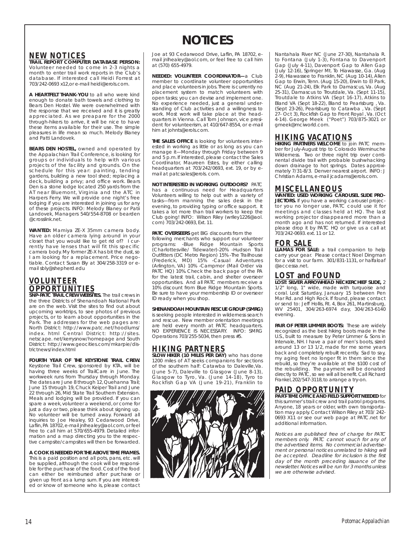# **NOTICES**

## **NEW NOTICES**

**TRAIL REPORT COMPUTER DATABASE PERSON:** Volunteer needed to come in 2-3 nights a month to enter trail work reports in the Club's database. If interested call Heidi Forrest at 703/242-0693 x12,or e-mail heidi@erols.com.

**A HEARTFELT THANK-YOU** to all who were kind enough to donate bath towels and clothing to Bears Den Hostel. We were overwhelmed with the response that we received and it is greatly appreciated. As we preapare for the 2000 through-hikers to arrive, it will be nice to have these items available for their use. The simple pleasures in life mean so much. Melody Blaney and Patti Landovek.

**BEARS DEN HOSTEL,** owned and operated by the Appalachian Trail Conference, is looking for groups or individuals to help with various projects of the facility and grounds. On the schedule for this year: painting, tending gardens, building a new tool shed; replacing a deck, building a privy; and office work. Bears Den is a stone lodge located 250 yards from the AT near Bluemont, Virginia and the ATC in Harpers Ferry. We will provide one night's free lodging if you are interested in joining us for any of these projects. INFO: Melody Blaney or Patii Landovek, Managers 540/554-8708 or bearden @crosslink.net.

**WANTED:** Mamiya ZE-X 35mm camera body. Have an older camera lying around in your closet that you would like to get rid of? I currently have lenses that will fit this specific camera body. My former ZE-X has bit the dust,so I am looking for a replacement. Price negotiable. Contact Susan Bly at 304/258-3319 or email sbly@shepherd.edu

## **VOLUNTEER OPPORTUNITIES**

**SNP-PATC TRAIL CREW WEBSITES.** The trail crews in the three Districts of Shenandoah National Park are on the web. Visit the sites to find out about upcoming worktrips, to see photos of previous projects, or to learn about opportunities in the Park. The addresses for the web pages are: North District: http://www.patc.net/hoodlums/ index. html Central District: http://sites. netscape. net/kerrysnow/homepage and South District: http://www.geocities.com/mkarpie/districtnews/index.html

**FOURTH YEAR OF THE KEYSTONE TRAIL CREW.** Keystone Trail Crew, sponsored by KTA, will be having three weeks of TrailCare in June. The workweek runs from Thursday through Monday. The dates are June 8 through 12, Quehanna Trail; June 15 through 19, Chuck Keiper Trail and June 22 through 26, Mid State Trail Southern Extension. Meals and lodging will be provided. If you can spare a week, volunteer a weekend, or come for just a day or two, please think about signing up. No volunteer will be turned away. Forward all inquiries to Joe Healey, 93 Cedarwood Drive, Laflin, PA 18702, e-mail jnlhealey@aol.com, or feel free to call him at 570/655-4979. Detailed information and a map directing you to the respective campsite/campsites will then be forwarded.

**A COOK IS NEEDED FOR THE ABOVE TIME FRAMES.** This is a paid position and all pots, pans, etc. will

be supplied, although the cook will be responsible for the purchase of the food.Cost of the food can either be reimbursed after purchase or given up front as a lump sum. If you are interested or know of someone who is, please contact

Joe at 93 Cedarwood Drive, Laflin, PA 18702, email jnlhealey@aol.com, or feel free to call him at (570) 655-4979.

**NEEDED: VOLUNTEER COORDINATOR—**a Club member to coordinate volunteer opportunities and place volunteers in jobs. There is currently no placement system to match volunteers with open tasks; you can devise and implement one. No experience needed, just a general understanding of Club activities and a willingness to work. Most work will take place at the headquarters in Vienna. Call Tom Johnson, vice president for volunteerism, at 410/647-8554, or e-mail him at johnts@erols.com.

**THE SALES OFFICE** is looking for volunteers interested in working as little or as long as you can manage it—Monday through Friday between 9 and 5 p.m. If interested, please contact the Sales Coordinator, Maureen Estes, by either calling headquarters at 703/242/0693, ext. 19, or by email at patcsales@erols. com.

**NOT INTERESTED IN WORKING OUTDOORS?** PATC has a continuous need for Headquarters Volunteers willing to help out with a variety of tasks—from manning the sales desk in the evening, to providing typing or office support. It takes a lot more than trail workers to keep the Club going! INFO: Wilson Riley (wriley1226@aol. com) 703/242-0693, Ext. 11.

#### **PATC OVERSEERS** get BIG discounts from the following merchants who support our volunteer programs: -Blue Ridge Mountain Sports (Charlottesville/ Tidewater)-20% -Hudson Trail Outfitters (DC Metro Region) 15% -The Trailhouse (Frederick, MD) 15% -Casual Adventures (Arlington, VA) 10% -Campmor (Mail Order via PATC HQ) 10%. Check the back page of the PA for the latest trail, cabin, and shelter overseer opportunities. And all PATC members receive a 10% discount from Blue Ridge Mountain Sports. Be sure to have your membership ID or overseer ID ready when you shop.

#### **SHENANDOAH MOUNTAIN RESCUE GROUP (SMRG)**

is seeking people interested in wilderness search and rescue. New member orientation meetings are held every month at PATC headquarters. NO EXPERIENCE IS NECESSARY. INFO: SMRG Operations 703/255-5034, then press #5.

## **HIKING PARTNERS**

**SLOW HIKER (10 MILES PER DAY)** who has done 1200 miles of AT seeks companions for sections of the southern half: Catawba to Daleville,Va. (June 5-7), Daleville to Glasgow (June 8-13), Glasgow to Tyro, Va. (June 14-18), Tyro to Rockfish Gap VA (June 19-21), Franklin to



Nantahala River NC (June 27-30), Nantahala R. to Fontana (July 1-3), Fontana to Davenport Gap (July 4-11), Davenport Gap to Allen Gap (July 12-16), Springer Mt. To Hiawasse, Ga. (Aug 2-9), Hiawassee to Franklin, NC (Aug 10-14), Allen Gap to Erwin, Tenn. (Aug 15-20), Erwin to El Park, NC (Aug 21-24), Elk Park to Damascus, Va. (Aug 25-31), Damascus to Troutdale, Va. (Sept 11-15), Troutdale to Atkins VA (Sept 16-17), Atkins to Bland VA (Sept 18-22), Bland to Pearisburg , Va. (Sept 23-26), Pearisburg to Catawba , Va. (Sept 27- Oct 3), Rockfish Gap to Front Royal , Va. (Oct 4-14). George Meek ("Poet") 703/875-3021 or gmeek@mciworld.com.

**HIKING VACATIONS HIKING PARTNERS WELCOME** to join PATC member for July-August trip to Colorado Weminuche Wilderness. Two or three night trip over continental divide trail with probable bushwhacking down drainage to hot springs. Dates approximately 7/31-8/3. Denver nearest airport. INFO: J Christian Adams, e-mail jcadams@erols.com.

## **MISCELLANEOUS**

**WANTED: USED WORKING CAROUSEL SLIDE PRO-JECTORS.** If you have a working carousel projector you no longer use, PATC could use it for meetings and classes held at HQ. The last working projector disappeared more than a month ago and has not returned. If interested please drop it by PATC HQ or give us a call at 703/242-0693. ext. 11 or 12.

**FOR SALE LLAMAS FOR SALE:** a trail companion to help carry your gear. Please contact Noel Dingman for a visit to our farm. 301/831-1131, or halfaloaf @accessa.net.

## **LOST and FOUND**

**LOST: SILVER ARROWHEAD NECKERCHIEF SLIDE,** 2 1/2" long, 1" wide, made with turquoise and coral. Lost Saturday, January 15 between Pen Mar Rd. and High Rock. If found, please contact or send to: Jeff Hollis, Rt. 4, Box 261, Martinsburg, WV 25401, 304/263-6974 day, 304/263-6140 evening.

**PAIR OF PETER LIMMER BOOTS:** These are widely recognized as the best hiking boots made in the U.S., built to measure by Peter Limmer & Sons in Intervale, NH. I have a pair of men's boots, sized around 13 or 13 1/2, made for me some years back and completely rebuilt recently. Sad to say, my aging feet no longer fit in them since the rebuild, so they're available at the \$100 cost of the rebuilding. The payment will be donated directly to PATC, so we will all benefit. Call Richard Frankel,202/547-3118,to arrange a try-on.

## **PAID OPPORTUNITY**

**PART-TIME OFFICE AND FIELD SUPPORT NEEDED** for this summer's trail crew and trail patrol programs. Anyone, 18 years or older, with own transportation may apply. Contact Wilson Riley at 703/ 242- 0693 X11 or see our web page at PATC.net for additional information.

Notices are published free of charge for PATC members only. PATC cannot vouch for any of the advertised items. No commercial advertisement or personal notices unrelated to hiking will be accepted. Deadline for inclusion is the first day of the month preceding issuance of the newsletter. Notices will be run for 3 months unless we are otherwise advised.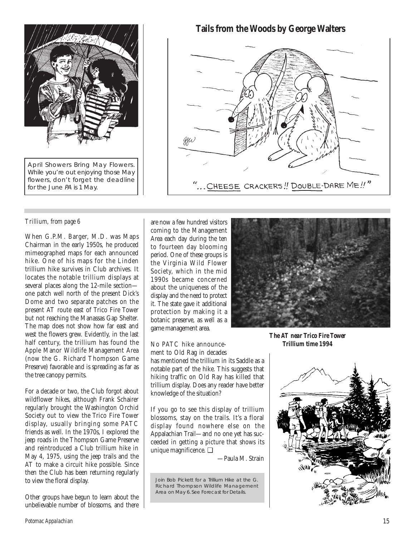

flowers, don't forget the deadline for the June PA is 1 May.

## *Trillium, from page 6*

When G.P.M. Barger, M.D. was Maps Chairman in the early 1950s, he produced mimeographed maps for each announced hike. One of his maps for the Linden trillium hike survives in Club archives. It locates the notable trillium displays at several places along the 12-mile section one patch well north of the present Dick's Dome and two separate patches on the present AT route east of Trico Fire Tower but not reaching the Manassas Gap Shelter. The map does not show how far east and west the flowers grew. Evidently, in the last half century, the trillium has found the Apple Manor Wildlife Management Area (now the G. Richard Thompson Game Preserve) favorable and is spreading as far as the tree canopy permits.

For a decade or two, the Club forgot about wildflower hikes, although Frank Schairer regularly brought the Washington Orchid Society out to view the Trico Fire Tower display, usually bringing some PATC friends as well. In the 1970s, I explored the jeep roads in the Thompson Game Preserve and reintroduced a Club trillium hike in May 4, 1975, using the jeep trails and the AT to make a circuit hike possible. Since then the Club has been returning regularly to view the floral display.

Other groups have begun to learn about the unbelievable number of blossoms, and there are now a few hundred visitors coming to the Management Area each day during the ten to fourteen day blooming period. One of these groups is the Virginia Wild Flower Society, which in the mid 1990s became concerned about the uniqueness of the display and the need to protect it. The state gave it additional protection by making it a botanic preserve, as well as a game management area.

No PATC hike announcement to Old Rag in decades has mentioned the trillium in its Saddle as a notable part of the hike. This suggests that hiking traffic on Old Ray has killed that trillium display. Does any reader have better knowledge of the situation?

If you go to see this display of trillium blossoms, stay on the trails. It's a floral display found nowhere else on the Appalachian Trail—and no one yet has succeeded in getting a picture that shows its unique magnificence. ❑

—Paula M. Strain

Join Bob Pickett for a Trillium Hike at the G. Richard Thompson Wildlife Management Area on May 6. See Forecast for Details.

.. CHEESE CRACKERS!! DOUBLE-DARE ME!!"

*The AT near Trico Fire Tower Trillium time 1994*



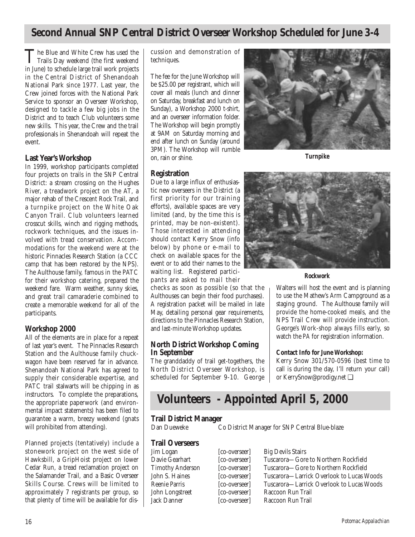## **Second Annual SNP Central District Overseer Workshop Scheduled for June 3-4**

The Blue and White Crew has used the<br>Trails Day weekend (the first weekend in June) to schedule large trail work projects in the Central District of Shenandoah National Park since 1977. Last year, the Crew joined forces with the National Park Service to sponsor an Overseer Workshop, designed to tackle a few big jobs in the District and to teach Club volunteers some new skills. This year, the Crew and the trail professionals in Shenandoah will repeat the event.

## **Last Year's Workshop**

In 1999, workshop participants completed four projects on trails in the SNP Central District: a stream crossing on the Hughes River, a treadwork project on the AT, a major rehab of the Crescent Rock Trail, and a turnpike project on the White Oak Canyon Trail. Club volunteers learned crosscut skills, winch and rigging methods, rockwork techniques, and the issues involved with tread conservation. Accommodations for the weekend were at the historic Pinnacles Research Station (a CCC camp that has been restored by the NPS). The Aulthouse family, famous in the PATC for their workshop catering, prepared the weekend fare. Warm weather, sunny skies, and great trail camaraderie combined to create a memorable weekend for all of the participants.

## **Workshop 2000**

All of the elements are in place for a repeat of last year's event. The Pinnacles Research Station and the Aulthouse family chuckwagon have been reserved far in advance. Shenandoah National Park has agreed to supply their considerable expertise, and PATC trail stalwarts will be chipping in as instructors. To complete the preparations, the appropriate paperwork (and environmental impact statements) has been filed to guarantee a warm, breezy weekend (gnats will prohibited from attending).

Planned projects (tentatively) include a stonework project on the west side of Hawksbill, a GripHoist project on lower Cedar Run, a tread reclamation project on the Salamander Trail, and a Basic Overseer Skills Course. Crews will be limited to approximately 7 registrants per group, so that plenty of time will be available for discussion and demonstration of techniques.

The fee for the June Workshop will be \$25.00 per registrant, which will cover all meals (lunch and dinner on Saturday, breakfast and lunch on Sunday), a Workshop 2000 t-shirt, and an overseer information folder. The Workshop will begin promptly at 9AM on Saturday morning and end after lunch on Sunday (around 3PM). The Workshop will rumble on, rain or shine.



*Turnpike*

## **Registration**

Due to a large influx of enthusiastic new overseers in the District (a first priority for our training efforts), available spaces are very limited (and, by the time this is printed, may be non-existent). Those interested in attending should contact Kerry Snow (info below) by phone or e-mail to check on available spaces for the event or to add their names to the waiting list. Registered participants are asked to mail their

checks as soon as possible (so that the Aulthouses can begin their food purchases). A registration packet will be mailed in late May, detailing personal gear requirements, directions to the Pinnacles Research Station, and last-minute Workshop updates.

## **North District Workshop Coming In September**

The granddaddy of trail get-togethers, the North District Overseer Workshop, is scheduled for September 9-10. George



### *Rockwork*

Walters will host the event and is planning to use the Mathew's Arm Campground as a staging ground. The Aulthouse family will provide the home-cooked meals, and the NPS Trail Crew will provide instruction. George's Work-shop always fills early, so watch the *PA* for registration information.

## **Contact Info for June Workshop:**

Kerry Snow 301/570-0596 (best time to call is during the day, I'll return your call) or KerrySnow@prodigy.net ❑

## **Volunteers - Appointed April 5, 2000**

# **Trail District Manager**

Co District Manager for SNP Central Blue-blaze

# **Trail Overseers**

Jim Logan [co-overseer] Big Devils Stairs

Davie Gearhart [co-overseer] Tuscarora—Gore to Northern Rockfield<br>Timothy Anderson [co-overseer] Tuscarora—Gore to Northern Rockfield Timothy Anderson [co-overseer] Tuscarora—Gore to Northern Rockfield<br>John S. Haines [co-overseer] Tuscarora—Larrick Overlook to Lucas V [co-overseer] Tuscarora—Larrick Overlook to Lucas Woods Reenie Parris [co-overseer] Tuscarora—Larrick Overlook to Lucas Woods John Longstreet [co-overseer] Raccoon Run Trail [co-overseer] Raccoon Run Trail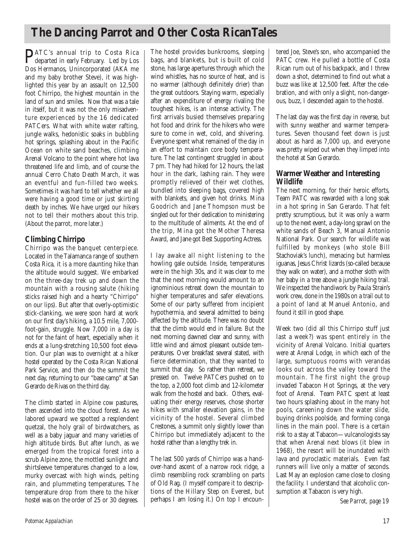# **The Dancing Parrot and Other Costa RicanTales**

PATC's annual trip to Costa Rica departed in early February. Led by Los Dos Hermanos, Unincorporated (AKA me and my baby brother Steve), it was highlighted this year by an assault on 12,500 foot Chirripo, the highest mountain in the land of sun and smiles. Now that was a tale in itself, but it was not the only misadventure experienced by the 16 dedicated PATCers. What with white water rafting, jungle walks, hedonistic soaks in bubbling hot springs, splashing about in the Pacific Ocean on white sand beaches, climbing Arenal Volcano to the point where hot lava threatened life and limb, and of course the annual Cerro Chato Death March, it was an eventful and fun-filled two weeks. Sometimes it was hard to tell whether we all were having a good time or just skirting death by inches. We have urged our hikers not to tell their mothers about this trip. (About the parrot, more later.)

## **Climbing Chirripo**

Chirripo was the banquet centerpiece. Located in the Talamanca range of southern Costa Rica, it is a more daunting hike than the altitude would suggest. We embarked on the three-day trek up and down the mountain with a rousing salute (hiking sticks raised high and a hearty "Chirripo" on our lips). But after that overly-optimistic stick-clanking, we were soon hard at work on our first day's hiking, a 10.5 mile, 7,000 foot-gain, struggle. Now 7,000 in a day is not for the faint of heart, especially when it ends at a lung-stretching 10,500 foot elevation. Our plan was to overnight at a hiker hostel operated by the Costa Rican National Park Service, and then do the summit the next day, returning to our "base camp" at San Gerardo de Rivas on the third day.

The climb started in Alpine cow pastures, then ascended into the cloud forest. As we labored upward we spotted a resplendent quetzal, the holy grail of birdwatchers, as well as a baby jaguar and many varieties of high altitude birds. But after lunch, as we emerged from the tropical forest into a scrub Alpine zone, the mottled sunlight and shirtsleeve temperatures changed to a low, murky overcast with high winds, pelting rain, and plummeting temperatures. The temperature drop from there to the hiker hostel was on the order of 25 or 30 degrees.

The hostel provides bunkrooms, sleeping bags, and blankets, but is built of cold stone, has large apertures through which the wind whistles, has no source of heat, and is no warmer (although definitely drier) than the great outdoors. Staying warm, especially after an expenditure of energy rivaling the toughest hikes, is an intense activity. The first arrivals busied themselves preparing hot food and drink for the hikers who were sure to come in wet, cold, and shivering. Everyone spent what remained of the day in an effort to maintain core body temperature. The last contingent struggled in about 7 pm. They had hiked for 12 hours, the last hour in the dark, lashing rain. They were promptly relieved of their wet clothes, bundled into sleeping bags, covered high with blankets, and given hot drinks. Mina Goodrich and Jane Thompson must be singled out for their dedication to ministering to the multitude of ailments. At the end of the trip, Mina got the Mother Theresa Award, and Jane got Best Supporting Actress.

I lay awake all night listening to the howling gale outside. Inside, temperatures were in the high 30s, and it was clear to me that the next morning would amount to an ignominious retreat down the mountain to higher temperatures and safer elevations. Some of our party suffered from incipient hypothermia, and several admitted to being affected by the altitude. There was no doubt that the climb would end in failure. But the next morning dawned clear and sunny, with little wind and almost pleasant outside temperatures. Over breakfast several stated, with fierce determination, that they wanted to summit that day. So rather than retreat, we pressed on. Twelve PATCers pushed on to the top, a 2,000 foot climb and 12-kilometer walk from the hostel and back. Others, evaluating their energy reserves, chose shorter hikes with smaller elevation gains, in the vicinity of the hostel. Several climbed Crestones, a summit only slightly lower than Chirripo but immediately adjacent to the hostel rather than a lengthy trek in.

The last 500 yards of Chirripo was a handover-hand ascent of a narrow rock ridge, a climb resembling rock scrambling on parts of Old Rag. (I myself compare it to descriptions of the Hillary Step on Everest, but perhaps I am losing it.) On top I encoun-

tered Joe, Steve's son, who accompanied the PATC crew. He pulled a bottle of Costa Rican rum out of his backpack, and I threw down a shot, determined to find out what a buzz was like at 12,500 feet. After the celebration, and with only a slight, non-dangerous, buzz, I descended again to the hostel.

The last day was the first day in reverse, but with sunny weather and warmer temperatures. Seven thousand feet down is just about as hard as 7,000 up, and everyone was pretty wiped out when they limped into the hotel at San Gerardo.

## **Warmer Weather and Interesting Wildlife**

The next morning, for their heroic efforts, Team PATC was rewarded with a long soak in a hot spring in San Gerardo. That felt pretty scrumptious, but it was only a warm up to the next event, a day-long sprawl on the white sands of Beach 3, Manual Antonio National Park. Our search for wildlife was fulfilled by monkeys (who stole Bill Stachoviak's lunch), menacing but harmless iguanas, Jesus Christ lizards (so-called because they walk on water), and a mother sloth with her baby in a tree above a jungle hiking trail. We inspected the handiwork by Paula Strain's work crew, done in the 1980s on a trail out to a point of land at Manuel Antonio, and found it still in good shape.

Week two (did all this Chirripo stuff just last a week?) was spent entirely in the vicinity of Arenal Volcano. Initial quarters were at Arenal Lodge, in which each of the large, sumptuous rooms with verandas looks out across the valley toward the mountain. The first night the group invaded Tabacon Hot Springs, at the very foot of Arenal. Team PATC spent at least two hours splashing about in the many hot pools, careening down the water slide, buying drinks poolside, and forming conga lines in the main pool. There is a certain risk to a stay at Tabacon—vulcanologists say that when Arenal next blows (it blew in 1968), the resort will be inundated with lava and pyroclastic materials. Even fast runners will live only a matter of seconds. Last May an explosion came close to closing the facility. I understand that alcoholic consumption at Tabacon is very high.

*See Parrot, page 19*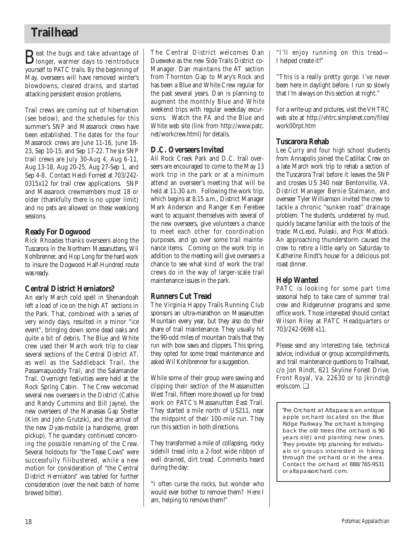# **Trailhead**

Beat the bugs and take advantage of longer, warmer days to reintroduce yourself to PATC trails. By the beginning of May, overseers will have removed winter's blowdowns, cleared drains, and started attacking persistent erosion problems.

Trail crews are coming out of hibernation (see below), and the schedules for this summer's SNP and Massarock crews have been established. The dates for the four Massarock crews are June 11-16, June 18- 23, Sep 10-15, and Sep 17-22. The six SNP trail crews are July 30-Aug 4, Aug 6-11, Aug 13-18, Aug 20-25, Aug 27-Sep 1, and Sep 4-8. Contact Heidi Forrest at 703/242- 0315x12 for trail crew applications. SNP and Massarock crewmembers must 18 or older (thankfully there is no upper limit) and no pets are allowed on these weeklong sessions.

## **Ready For Dogwood**

Rick Rhoades thanks overseers along the Tuscarora in the Northern Massanuttens, Wil Kohlbrenner, and Hop Long for the hard work to insure the Dogwood Half-Hundred route was ready.

## **Central District Herniators?**

An early March cold spell in Shenandoah left a load of ice on the high AT sections in the Park. That, combined with a series of very windy days, resulted in a minor "ice event", bringing down some dead oaks and quite a bit of debris. The Blue and White crew used their March work trip to clear several sections of the Central District AT, as well as the Saddleback Trail, the Passamaquoddy Trail, and the Salamander Trail. Overnight festivities were held at the Rock Spring Cabin. The Crew welcomed several new overseers in the District (Cathie and Randy Cummins and Bill Jayne), the new overseers of the Manassas Gap Shelter (Kim and John Grutzik), and the arrival of the new Dyas-mobile (a handsome, green pickup). The quandary continued concerning the possible renaming of the Crew. Several holdouts for "the Tease Cows" were successfully filibustered, while a new motion for consideration of "the Central District Herniators" was tabled for further consideration (over the next batch of home brewed bitter).

The Central District welcomes Dan Dueweke as the new Side Trails District co-Manager. Dan maintains the AT section from Thornton Gap to Mary's Rock and has been a Blue and White Crew regular for the past several years. Dan is planning to augment the monthly Blue and White weekend trips with regular weekday excursions. Watch the *PA* and the Blue and White web site (link from http://www.patc. net/workcrew.html) for details.

## **D.C. Overseers Invited**

All Rock Creek Park and D.C. trail overseers are encouraged to come to the May 13 work trip in the park or at a minimum attend an overseer's meeting that will be held at 11:30 a.m. Following the work trip, which begins at 8:15 a.m., District Manager Mark Anderson and Ranger Ken Ferebee want to acquaint themselves with several of the new overseers, give volunteers a chance to meet each other for coordination purposes, and go over some trail maintenance items. Coming on the work trip in addition to the meeting will give overseers a chance to see what kind of work the trail crews do in the way of larger-scale trail maintenance issues in the park.

## **Runners Cut Tread**

The Virginia Happy Trails Running Club sponsors an ultra-marathon on Massanutten Mountain every year, but they also do their share of trail maintenance. They usually hit the 90-odd miles of mountain trails that they run with bow saws and clippers. This spring, they opted for some tread maintenance and asked Wil Kohlbrenner for a suggestion.

While some of their group were sawing and clipping their section of the Massanutten West Trail, fifteen more showed up for tread work on PATC's Massanutten East Trail. They started a mile north of US211, near the midpoint of their 100-mile run. They run this section in both directions.

They transformed a mile of collapsing, rocky sidehill tread into a 2-foot wide ribbon of well drained, dirt tread. Comments heard during the day:

"I often curse the rocks, but wonder who would ever bother to remove them? Here I am, helping to remove them!"

"I'll enjoy running on this tread— I helped create it!"

"This is a really pretty gorge. I've never been here in daylight before. I run so slowly that I'm always on this section at night."

For a write-up and pictures, visit the VHTRC web site at http://vhtrc.simplenet.com/files/ work00rpt.htm

## **Tuscarora Rehab**

Lee Curry and four high school students from Annapolis joined the Cadillac Crew on a late March work trip to rehab a section of the Tuscarora Trail before it leaves the SNP and crosses US 340 near Bentonville, VA. District Manager Bernie Stalmann, and overseer Tyler Williamson invited the crew to tackle a chronic "sunken road" drainage problem. The students, undeterred by mud, quickly became familiar with the tools of the trade: McLeod, Pulaski, and Pick Mattock. An approaching thunderstorm caused the crew to retire a little early on Saturday to Katherine Rindt's house for a delicious pot roast dinner.

## **Help Wanted**

PATC is looking for some part time seasonal help to take care of summer trail crew and Ridgerunner programs and some office work. Those interested should contact Wilson Riley at PATC Headquarters or 703/242-0698 x11.

Please send any interesting tale, technical advice, individual or group accomplishments, and trail maintenance questions to Trailhead, c/o Jon Rindt, 621 Skyline Forest Drive, Front Royal, Va. 22630 or to jkrindt@ erols.com. ❑

The Orchard at Altapass is an antique apple orchard located on the Blue Ridge Parkway. The orchard is bringing back the old trees (the orchard is 90 years old) and planting new ones. They provide trip planning for individuals or groups interested in hiking through the orchard or in the area. Contact the orchard at 888/765-9531 or altapassorchard. com.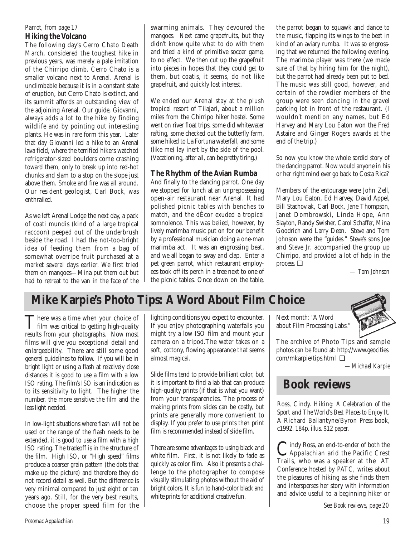## **Hiking the Volcano** *Parrot, from page 17*

The following day's Cerro Chato Death March, considered the toughest hike in previous years, was merely a pale imitation of the Chirripo climb. Cerro Chato is a smaller volcano next to Arenal. Arenal is unclimbable because it is in a constant state of eruption, but Cerro Chato is extinct, and its summit affords an outstanding view of the adjoining Arenal. Our guide, Giovanni, always adds a lot to the hike by finding wildlife and by pointing out interesting plants. He was in rare form this year. Later that day Giovanni led a hike to an Arenal lava field, where the terrified hikers watched refrigerator-sized boulders come crashing toward them, only to break up into red-hot chunks and slam to a stop on the slope just above them. Smoke and fire was all around. Our resident geologist, Carl Bock, was enthralled.

As we left Arenal Lodge the next day, a pack of coati mundis (kind of a large tropical raccoon) peeped out of the underbrush beside the road. I had the not-too-bright idea of feeding them from a bag of somewhat overripe fruit purchased at a market several days earlier. We first tried them on mangoes—Mina put them out but had to retreat to the van in the face of the swarming animals. They devoured the mangoes. Next came grapefruits, but they didn't know quite what to do with them and tried a kind of primitive soccer game, to no effect. We then cut up the grapefruit into pieces in hopes that they could get to them, but coatis, it seems, do not like grapefruit, and quickly lost interest.

We ended our Arenal stay at the plush tropical resort of Tilajari, about a million miles from the Chirripo hiker hostel. Some went on river float trips, some did whitewater rafting, some checked out the butterfly farm, some hiked to La Fortuna waterfall, and some (like me) lay inert by the side of the pool. (Vacationing, after all, can be pretty tiring.)

## **The Rhythm of the Avian Rumba**

And finally to the dancing parrot. One day we stopped for lunch at an unprepossessing open-air restaurant near Arenal. It had polished picnic tables with benches to match, and the dÈcor exuded a tropical somnolence. This was belied, however, by lively marimba music put on for our benefit by a professional musician doing a one-man marimba act. It was an engrossing beat, and we all began to sway and clap. Enter a pet green parrot, which restaurant employees took off its perch in a tree next to one of the picnic tables. Once down on the table, the parrot began to squawk and dance to the music, flapping its wings to the beat in kind of an aviary rumba. It was so engrossing that we returned the following evening. The marimba player was there (we made sure of that by hiring him for the night), but the parrot had already been put to bed. The music was still good, however, and certain of the rowdier members of the group were seen dancing in the gravel parking lot in front of the restaurant. (I wouldn't mention any names, but Ed Harvey and Mary Lou Eaton won the Fred Astaire and Ginger Rogers awards at the end of the trip.)

So now you know the whole sordid story of the dancing parrot. Now would anyone in his or her right mind ever go back to Costa Rica?

Members of the entourage were John Zell, Mary Lou Eaton, Ed Harvey, David Appel, Bill Stachoviak, Carl Bock, Jane Thompson, Janet Dombrowski, Linda Hope, Ann Slayton, Randy Swisher, Carol Schaffer, Mina Goodrich and Larry Dean. Steve and Tom Johnson were the "guides." Steve's sons Joe and Steve Jr. accompanied the group up Chirripo, and provided a lot of help in the process. ❑

*— Tom Johnson*

# **Mike Karpie's Photo Tips: A Word About Film Choice**

There was a time when your choice of<br>film was critical to getting high-quality results from your photographs. Now most films will give you exceptional detail and enlargeability. There are still some good general guidelines to follow. If you will be in bright light or using a flash at relatively close distances it is good to use a film with a low ISO rating. The film's ISO is an indication as to its sensitivity to light. The higher the number, the more sensitive the film and the less light needed.

In low-light situations where flash will not be used or the range of the flash needs to be extended, it is good to use a film with a high ISO rating. The tradeoff is in the structure of the film. High ISO, or "High speed" films produce a coarser grain pattern (the dots that make up the picture) and therefore they do not record detail as well. But the difference is very minimal compared to just eight or ten years ago. Still, for the very best results, choose the proper speed film for the lighting conditions you expect to encounter. If you enjoy photographing waterfalls you might try a low ISO film and mount your camera on a tripod.The water takes on a soft, cottony, flowing appearance that seems almost magical.

Slide films tend to provide brilliant color, but it is important to find a lab that can produce high-quality prints (if that is what you want) from your transparencies. The process of making prints from slides can be costly, but prints are generally more convenient to display. If you prefer to use prints then print film is recommended instead of slide film.

There are some advantages to using black and white film. First, it is not likely to fade as quickly as color film. Also it presents a challenge to the photographer to compose visually stimulating photos without the aid of bright colors. It is fun to hand-color black and white prints for additional creative fun.

Next month: "A Word about Film Processing Labs."



The archive of Photo Tips and sample photos can be found at: http://www.geocities. com/mkarpie/tips.html ❑

*—Michael Karpie*

## **Book reviews**

Ross, Cindy. *Hiking: A Celebration of the Sport and The World's Best Places to Enjoy It.* A Richard Ballantyne/Byron Press book, c1992. 184p. illus. \$12 paper.

Cindy Ross, an end-to-ender of both the<br>Appalachian arid the Pacific Crest<br>Trails who was a graph at the AT Trails, who was a speaker at the AT Conference hosted by PATC, writes about the pleasures of hiking as she finds them and intersperses her story with information and advice useful to a beginning hiker or